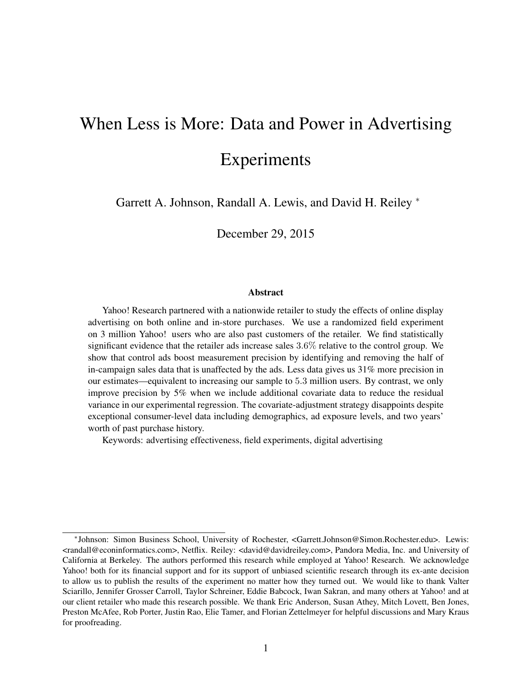# When Less is More: Data and Power in Advertising Experiments

Garrett A. Johnson, Randall A. Lewis, and David H. Reiley <sup>∗</sup>

December 29, 2015

#### **Abstract**

Yahoo! Research partnered with a nationwide retailer to study the effects of online display advertising on both online and in-store purchases. We use a randomized field experiment on 3 million Yahoo! users who are also past customers of the retailer. We find statistically significant evidence that the retailer ads increase sales 3.6% relative to the control group. We show that control ads boost measurement precision by identifying and removing the half of in-campaign sales data that is unaffected by the ads. Less data gives us  $31\%$  more precision in our estimates—equivalent to increasing our sample to 5.3 million users. By contrast, we only improve precision by 5% when we include additional covariate data to reduce the residual variance in our experimental regression. The covariate-adjustment strategy disappoints despite exceptional consumer-level data including demographics, ad exposure levels, and two years' worth of past purchase history.

Keywords: advertising effectiveness, field experiments, digital advertising

<sup>∗</sup> Johnson: Simon Business School, University of Rochester, <Garrett.Johnson@Simon.Rochester.edu>. Lewis: <randall@econinformatics.com>, Netflix. Reiley: <david@davidreiley.com>, Pandora Media, Inc. and University of California at Berkeley. The authors performed this research while employed at Yahoo! Research. We acknowledge Yahoo! both for its financial support and for its support of unbiased scientific research through its ex-ante decision to allow us to publish the results of the experiment no matter how they turned out. We would like to thank Valter Sciarillo, Jennifer Grosser Carroll, Taylor Schreiner, Eddie Babcock, Iwan Sakran, and many others at Yahoo! and at our client retailer who made this research possible. We thank Eric Anderson, Susan Athey, Mitch Lovett, Ben Jones, Preston McAfee, Rob Porter, Justin Rao, Elie Tamer, and Florian Zettelmeyer for helpful discussions and Mary Kraus for proofreading.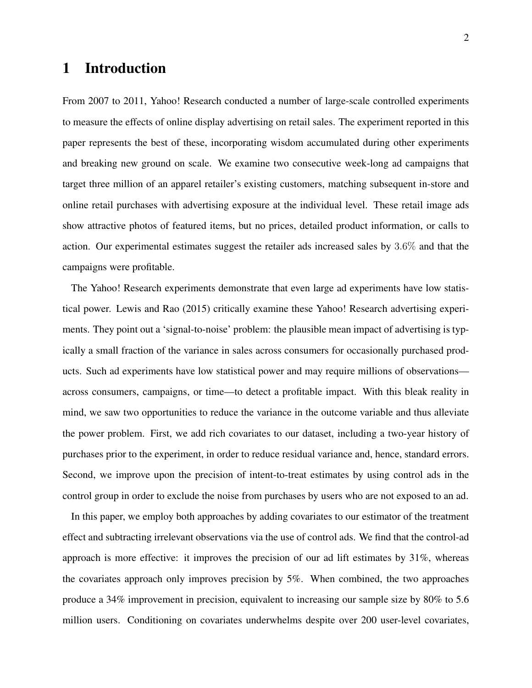## 1 Introduction

From 2007 to 2011, Yahoo! Research conducted a number of large-scale controlled experiments to measure the effects of online display advertising on retail sales. The experiment reported in this paper represents the best of these, incorporating wisdom accumulated during other experiments and breaking new ground on scale. We examine two consecutive week-long ad campaigns that target three million of an apparel retailer's existing customers, matching subsequent in-store and online retail purchases with advertising exposure at the individual level. These retail image ads show attractive photos of featured items, but no prices, detailed product information, or calls to action. Our experimental estimates suggest the retailer ads increased sales by 3.6% and that the campaigns were profitable.

The Yahoo! Research experiments demonstrate that even large ad experiments have low statistical power. Lewis and Rao (2015) critically examine these Yahoo! Research advertising experiments. They point out a 'signal-to-noise' problem: the plausible mean impact of advertising is typically a small fraction of the variance in sales across consumers for occasionally purchased products. Such ad experiments have low statistical power and may require millions of observations across consumers, campaigns, or time—to detect a profitable impact. With this bleak reality in mind, we saw two opportunities to reduce the variance in the outcome variable and thus alleviate the power problem. First, we add rich covariates to our dataset, including a two-year history of purchases prior to the experiment, in order to reduce residual variance and, hence, standard errors. Second, we improve upon the precision of intent-to-treat estimates by using control ads in the control group in order to exclude the noise from purchases by users who are not exposed to an ad.

In this paper, we employ both approaches by adding covariates to our estimator of the treatment effect and subtracting irrelevant observations via the use of control ads. We find that the control-ad approach is more effective: it improves the precision of our ad lift estimates by 31%, whereas the covariates approach only improves precision by 5%. When combined, the two approaches produce a 34% improvement in precision, equivalent to increasing our sample size by 80% to 5.6 million users. Conditioning on covariates underwhelms despite over 200 user-level covariates,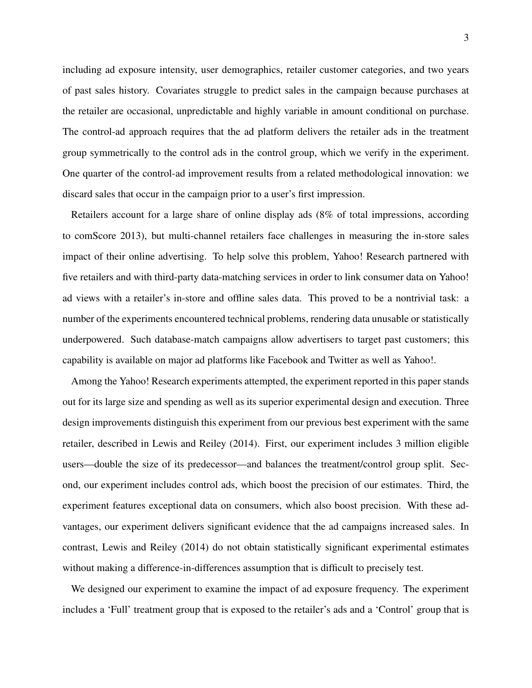including ad exposure intensity, user demographics, retailer customer categories, and two years of past sales history. Covariates struggle to predict sales in the campaign because purchases at the retailer are occasional, unpredictable and highly variable in amount conditional on purchase. The control-ad approach requires that the ad platform delivers the retailer ads in the treatment group symmetrically to the control ads in the control group, which we verify in the experiment. One quarter of the control-ad improvement results from a related methodological innovation: we discard sales that occur in the campaign prior to a user's first impression.

Retailers account for a large share of online display ads (8% of total impressions, according to comScore 2013), but multi-channel retailers face challenges in measuring the in-store sales impact of their online advertising. To help solve this problem, Yahoo! Research partnered with five retailers and with third-party data-matching services in order to link consumer data on Yahoo! ad views with a retailer's in-store and offline sales data. This proved to be a nontrivial task: a number of the experiments encountered technical problems, rendering data unusable or statistically underpowered. Such database-match campaigns allow advertisers to target past customers; this capability is available on major ad platforms like Facebook and Twitter as well as Yahoo!.

Among the Yahoo! Research experiments attempted, the experiment reported in this paper stands out for its large size and spending as well as its superior experimental design and execution. Three design improvements distinguish this experiment from our previous best experiment with the same retailer, described in Lewis and Reiley (2014). First, our experiment includes 3 million eligible users—double the size of its predecessor—and balances the treatment/control group split. Second, our experiment includes control ads, which boost the precision of our estimates. Third, the experiment features exceptional data on consumers, which also boost precision. With these advantages, our experiment delivers significant evidence that the ad campaigns increased sales. In contrast, Lewis and Reiley (2014) do not obtain statistically significant experimental estimates without making a difference-in-differences assumption that is difficult to precisely test.

We designed our experiment to examine the impact of ad exposure frequency. The experiment includes a 'Full' treatment group that is exposed to the retailer's ads and a 'Control' group that is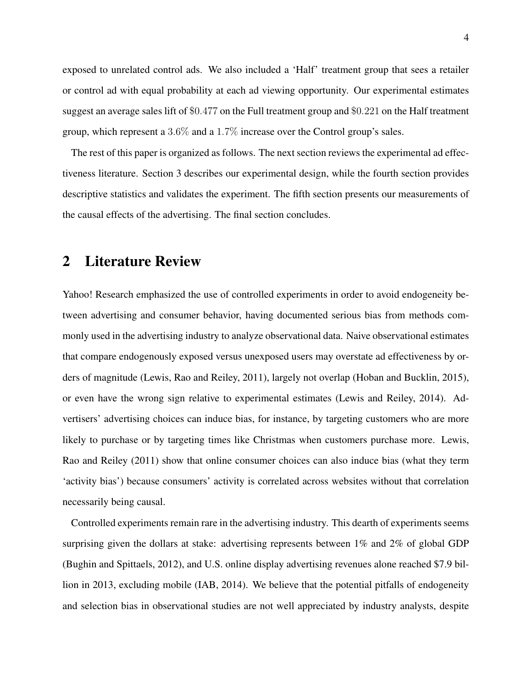exposed to unrelated control ads. We also included a 'Half' treatment group that sees a retailer or control ad with equal probability at each ad viewing opportunity. Our experimental estimates suggest an average sales lift of \$0.477 on the Full treatment group and \$0.221 on the Half treatment group, which represent a 3.6% and a 1.7% increase over the Control group's sales.

The rest of this paper is organized as follows. The next section reviews the experimental ad effectiveness literature. Section 3 describes our experimental design, while the fourth section provides descriptive statistics and validates the experiment. The fifth section presents our measurements of the causal effects of the advertising. The final section concludes.

### 2 Literature Review

Yahoo! Research emphasized the use of controlled experiments in order to avoid endogeneity between advertising and consumer behavior, having documented serious bias from methods commonly used in the advertising industry to analyze observational data. Naive observational estimates that compare endogenously exposed versus unexposed users may overstate ad effectiveness by orders of magnitude (Lewis, Rao and Reiley, 2011), largely not overlap (Hoban and Bucklin, 2015), or even have the wrong sign relative to experimental estimates (Lewis and Reiley, 2014). Advertisers' advertising choices can induce bias, for instance, by targeting customers who are more likely to purchase or by targeting times like Christmas when customers purchase more. Lewis, Rao and Reiley (2011) show that online consumer choices can also induce bias (what they term 'activity bias') because consumers' activity is correlated across websites without that correlation necessarily being causal.

Controlled experiments remain rare in the advertising industry. This dearth of experiments seems surprising given the dollars at stake: advertising represents between 1% and 2% of global GDP (Bughin and Spittaels, 2012), and U.S. online display advertising revenues alone reached \$7.9 billion in 2013, excluding mobile (IAB, 2014). We believe that the potential pitfalls of endogeneity and selection bias in observational studies are not well appreciated by industry analysts, despite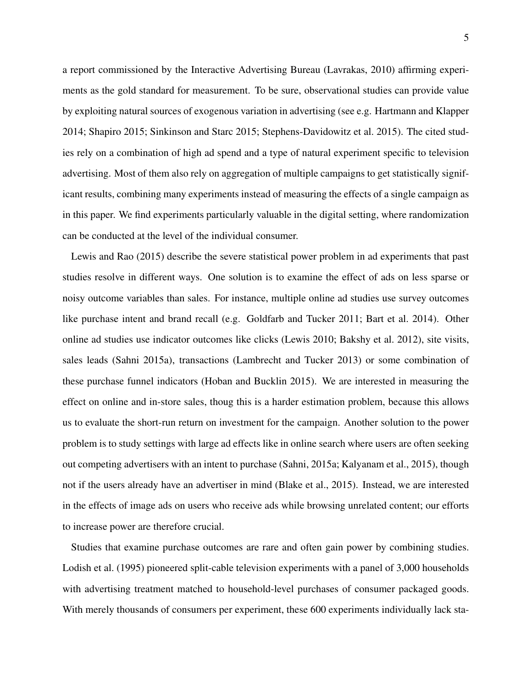a report commissioned by the Interactive Advertising Bureau (Lavrakas, 2010) affirming experiments as the gold standard for measurement. To be sure, observational studies can provide value by exploiting natural sources of exogenous variation in advertising (see e.g. Hartmann and Klapper 2014; Shapiro 2015; Sinkinson and Starc 2015; Stephens-Davidowitz et al. 2015). The cited studies rely on a combination of high ad spend and a type of natural experiment specific to television advertising. Most of them also rely on aggregation of multiple campaigns to get statistically significant results, combining many experiments instead of measuring the effects of a single campaign as in this paper. We find experiments particularly valuable in the digital setting, where randomization can be conducted at the level of the individual consumer.

Lewis and Rao (2015) describe the severe statistical power problem in ad experiments that past studies resolve in different ways. One solution is to examine the effect of ads on less sparse or noisy outcome variables than sales. For instance, multiple online ad studies use survey outcomes like purchase intent and brand recall (e.g. Goldfarb and Tucker 2011; Bart et al. 2014). Other online ad studies use indicator outcomes like clicks (Lewis 2010; Bakshy et al. 2012), site visits, sales leads (Sahni 2015a), transactions (Lambrecht and Tucker 2013) or some combination of these purchase funnel indicators (Hoban and Bucklin 2015). We are interested in measuring the effect on online and in-store sales, thoug this is a harder estimation problem, because this allows us to evaluate the short-run return on investment for the campaign. Another solution to the power problem is to study settings with large ad effects like in online search where users are often seeking out competing advertisers with an intent to purchase (Sahni, 2015a; Kalyanam et al., 2015), though not if the users already have an advertiser in mind (Blake et al., 2015). Instead, we are interested in the effects of image ads on users who receive ads while browsing unrelated content; our efforts to increase power are therefore crucial.

Studies that examine purchase outcomes are rare and often gain power by combining studies. Lodish et al. (1995) pioneered split-cable television experiments with a panel of 3,000 households with advertising treatment matched to household-level purchases of consumer packaged goods. With merely thousands of consumers per experiment, these 600 experiments individually lack sta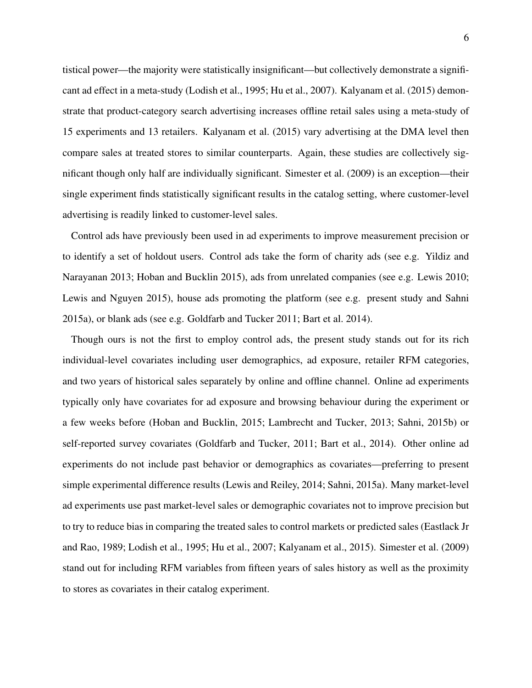tistical power—the majority were statistically insignificant—but collectively demonstrate a significant ad effect in a meta-study (Lodish et al., 1995; Hu et al., 2007). Kalyanam et al. (2015) demonstrate that product-category search advertising increases offline retail sales using a meta-study of 15 experiments and 13 retailers. Kalyanam et al. (2015) vary advertising at the DMA level then compare sales at treated stores to similar counterparts. Again, these studies are collectively significant though only half are individually significant. Simester et al. (2009) is an exception—their single experiment finds statistically significant results in the catalog setting, where customer-level advertising is readily linked to customer-level sales.

Control ads have previously been used in ad experiments to improve measurement precision or to identify a set of holdout users. Control ads take the form of charity ads (see e.g. Yildiz and Narayanan 2013; Hoban and Bucklin 2015), ads from unrelated companies (see e.g. Lewis 2010; Lewis and Nguyen 2015), house ads promoting the platform (see e.g. present study and Sahni 2015a), or blank ads (see e.g. Goldfarb and Tucker 2011; Bart et al. 2014).

Though ours is not the first to employ control ads, the present study stands out for its rich individual-level covariates including user demographics, ad exposure, retailer RFM categories, and two years of historical sales separately by online and offline channel. Online ad experiments typically only have covariates for ad exposure and browsing behaviour during the experiment or a few weeks before (Hoban and Bucklin, 2015; Lambrecht and Tucker, 2013; Sahni, 2015b) or self-reported survey covariates (Goldfarb and Tucker, 2011; Bart et al., 2014). Other online ad experiments do not include past behavior or demographics as covariates—preferring to present simple experimental difference results (Lewis and Reiley, 2014; Sahni, 2015a). Many market-level ad experiments use past market-level sales or demographic covariates not to improve precision but to try to reduce bias in comparing the treated sales to control markets or predicted sales (Eastlack Jr and Rao, 1989; Lodish et al., 1995; Hu et al., 2007; Kalyanam et al., 2015). Simester et al. (2009) stand out for including RFM variables from fifteen years of sales history as well as the proximity to stores as covariates in their catalog experiment.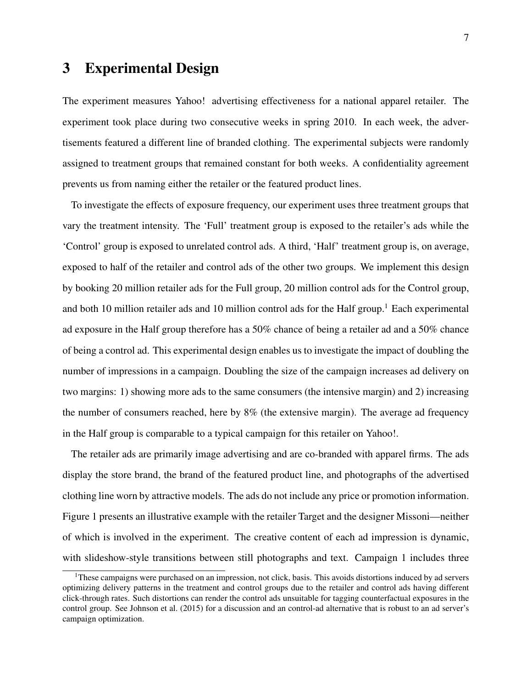## 3 Experimental Design

The experiment measures Yahoo! advertising effectiveness for a national apparel retailer. The experiment took place during two consecutive weeks in spring 2010. In each week, the advertisements featured a different line of branded clothing. The experimental subjects were randomly assigned to treatment groups that remained constant for both weeks. A confidentiality agreement prevents us from naming either the retailer or the featured product lines.

To investigate the effects of exposure frequency, our experiment uses three treatment groups that vary the treatment intensity. The 'Full' treatment group is exposed to the retailer's ads while the 'Control' group is exposed to unrelated control ads. A third, 'Half' treatment group is, on average, exposed to half of the retailer and control ads of the other two groups. We implement this design by booking 20 million retailer ads for the Full group, 20 million control ads for the Control group, and both 10 million retailer ads and 10 million control ads for the Half group.<sup>1</sup> Each experimental ad exposure in the Half group therefore has a 50% chance of being a retailer ad and a 50% chance of being a control ad. This experimental design enables us to investigate the impact of doubling the number of impressions in a campaign. Doubling the size of the campaign increases ad delivery on two margins: 1) showing more ads to the same consumers (the intensive margin) and 2) increasing the number of consumers reached, here by 8% (the extensive margin). The average ad frequency in the Half group is comparable to a typical campaign for this retailer on Yahoo!.

The retailer ads are primarily image advertising and are co-branded with apparel firms. The ads display the store brand, the brand of the featured product line, and photographs of the advertised clothing line worn by attractive models. The ads do not include any price or promotion information. Figure 1 presents an illustrative example with the retailer Target and the designer Missoni—neither of which is involved in the experiment. The creative content of each ad impression is dynamic, with slideshow-style transitions between still photographs and text. Campaign 1 includes three

<sup>&</sup>lt;sup>1</sup>These campaigns were purchased on an impression, not click, basis. This avoids distortions induced by ad servers optimizing delivery patterns in the treatment and control groups due to the retailer and control ads having different click-through rates. Such distortions can render the control ads unsuitable for tagging counterfactual exposures in the control group. See Johnson et al. (2015) for a discussion and an control-ad alternative that is robust to an ad server's campaign optimization.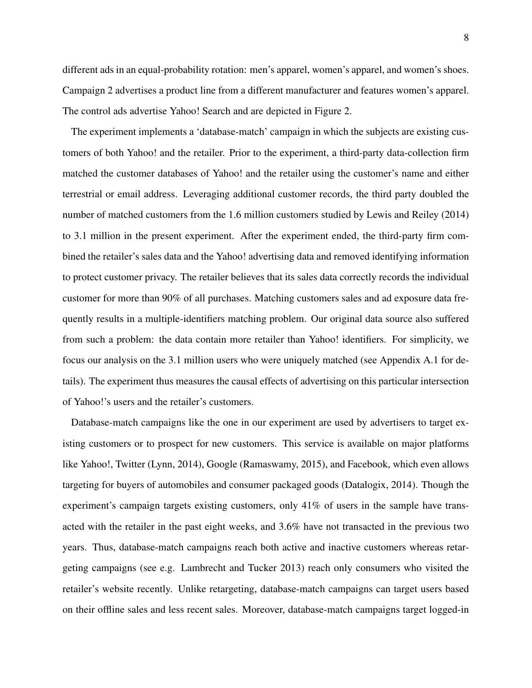different ads in an equal-probability rotation: men's apparel, women's apparel, and women's shoes. Campaign 2 advertises a product line from a different manufacturer and features women's apparel. The control ads advertise Yahoo! Search and are depicted in Figure 2.

The experiment implements a 'database-match' campaign in which the subjects are existing customers of both Yahoo! and the retailer. Prior to the experiment, a third-party data-collection firm matched the customer databases of Yahoo! and the retailer using the customer's name and either terrestrial or email address. Leveraging additional customer records, the third party doubled the number of matched customers from the 1.6 million customers studied by Lewis and Reiley (2014) to 3.1 million in the present experiment. After the experiment ended, the third-party firm combined the retailer's sales data and the Yahoo! advertising data and removed identifying information to protect customer privacy. The retailer believes that its sales data correctly records the individual customer for more than 90% of all purchases. Matching customers sales and ad exposure data frequently results in a multiple-identifiers matching problem. Our original data source also suffered from such a problem: the data contain more retailer than Yahoo! identifiers. For simplicity, we focus our analysis on the 3.1 million users who were uniquely matched (see Appendix A.1 for details). The experiment thus measures the causal effects of advertising on this particular intersection of Yahoo!'s users and the retailer's customers.

Database-match campaigns like the one in our experiment are used by advertisers to target existing customers or to prospect for new customers. This service is available on major platforms like Yahoo!, Twitter (Lynn, 2014), Google (Ramaswamy, 2015), and Facebook, which even allows targeting for buyers of automobiles and consumer packaged goods (Datalogix, 2014). Though the experiment's campaign targets existing customers, only 41% of users in the sample have transacted with the retailer in the past eight weeks, and 3.6% have not transacted in the previous two years. Thus, database-match campaigns reach both active and inactive customers whereas retargeting campaigns (see e.g. Lambrecht and Tucker 2013) reach only consumers who visited the retailer's website recently. Unlike retargeting, database-match campaigns can target users based on their offline sales and less recent sales. Moreover, database-match campaigns target logged-in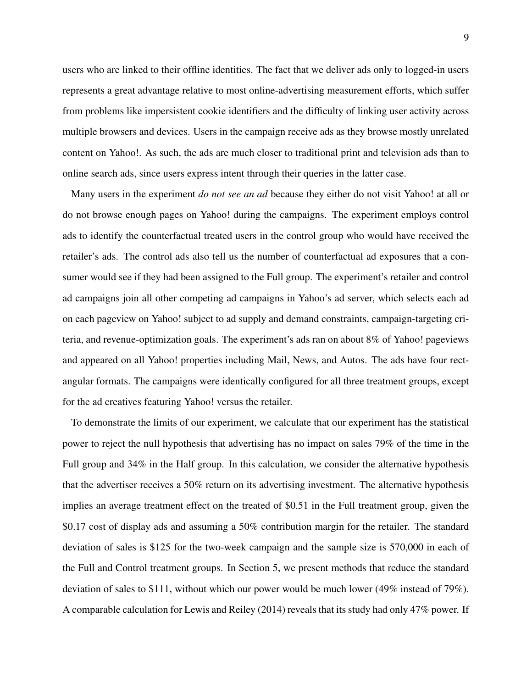users who are linked to their offline identities. The fact that we deliver ads only to logged-in users represents a great advantage relative to most online-advertising measurement efforts, which suffer from problems like impersistent cookie identifiers and the difficulty of linking user activity across multiple browsers and devices. Users in the campaign receive ads as they browse mostly unrelated content on Yahoo!. As such, the ads are much closer to traditional print and television ads than to online search ads, since users express intent through their queries in the latter case.

Many users in the experiment *do not see an ad* because they either do not visit Yahoo! at all or do not browse enough pages on Yahoo! during the campaigns. The experiment employs control ads to identify the counterfactual treated users in the control group who would have received the retailer's ads. The control ads also tell us the number of counterfactual ad exposures that a consumer would see if they had been assigned to the Full group. The experiment's retailer and control ad campaigns join all other competing ad campaigns in Yahoo's ad server, which selects each ad on each pageview on Yahoo! subject to ad supply and demand constraints, campaign-targeting criteria, and revenue-optimization goals. The experiment's ads ran on about 8% of Yahoo! pageviews and appeared on all Yahoo! properties including Mail, News, and Autos. The ads have four rectangular formats. The campaigns were identically configured for all three treatment groups, except for the ad creatives featuring Yahoo! versus the retailer.

To demonstrate the limits of our experiment, we calculate that our experiment has the statistical power to reject the null hypothesis that advertising has no impact on sales 79% of the time in the Full group and 34% in the Half group. In this calculation, we consider the alternative hypothesis that the advertiser receives a 50% return on its advertising investment. The alternative hypothesis implies an average treatment effect on the treated of \$0.51 in the Full treatment group, given the \$0.17 cost of display ads and assuming a 50% contribution margin for the retailer. The standard deviation of sales is \$125 for the two-week campaign and the sample size is 570,000 in each of the Full and Control treatment groups. In Section 5, we present methods that reduce the standard deviation of sales to \$111, without which our power would be much lower (49% instead of 79%). A comparable calculation for Lewis and Reiley (2014) reveals that its study had only 47% power. If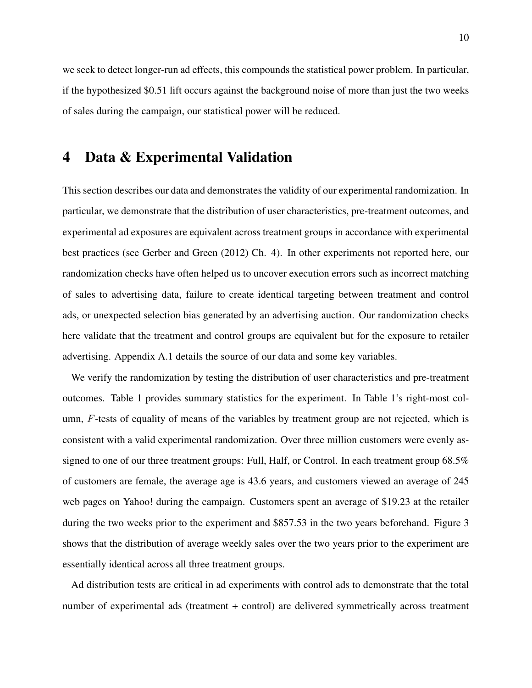we seek to detect longer-run ad effects, this compounds the statistical power problem. In particular, if the hypothesized \$0.51 lift occurs against the background noise of more than just the two weeks of sales during the campaign, our statistical power will be reduced.

### 4 Data & Experimental Validation

This section describes our data and demonstrates the validity of our experimental randomization. In particular, we demonstrate that the distribution of user characteristics, pre-treatment outcomes, and experimental ad exposures are equivalent across treatment groups in accordance with experimental best practices (see Gerber and Green (2012) Ch. 4). In other experiments not reported here, our randomization checks have often helped us to uncover execution errors such as incorrect matching of sales to advertising data, failure to create identical targeting between treatment and control ads, or unexpected selection bias generated by an advertising auction. Our randomization checks here validate that the treatment and control groups are equivalent but for the exposure to retailer advertising. Appendix A.1 details the source of our data and some key variables.

We verify the randomization by testing the distribution of user characteristics and pre-treatment outcomes. Table 1 provides summary statistics for the experiment. In Table 1's right-most column, F-tests of equality of means of the variables by treatment group are not rejected, which is consistent with a valid experimental randomization. Over three million customers were evenly assigned to one of our three treatment groups: Full, Half, or Control. In each treatment group 68.5% of customers are female, the average age is 43.6 years, and customers viewed an average of 245 web pages on Yahoo! during the campaign. Customers spent an average of \$19.23 at the retailer during the two weeks prior to the experiment and \$857.53 in the two years beforehand. Figure 3 shows that the distribution of average weekly sales over the two years prior to the experiment are essentially identical across all three treatment groups.

Ad distribution tests are critical in ad experiments with control ads to demonstrate that the total number of experimental ads (treatment + control) are delivered symmetrically across treatment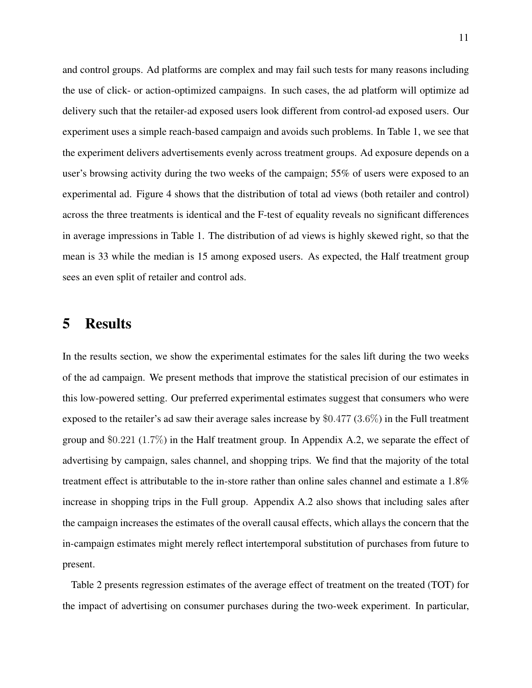and control groups. Ad platforms are complex and may fail such tests for many reasons including the use of click- or action-optimized campaigns. In such cases, the ad platform will optimize ad delivery such that the retailer-ad exposed users look different from control-ad exposed users. Our experiment uses a simple reach-based campaign and avoids such problems. In Table 1, we see that the experiment delivers advertisements evenly across treatment groups. Ad exposure depends on a user's browsing activity during the two weeks of the campaign; 55% of users were exposed to an experimental ad. Figure 4 shows that the distribution of total ad views (both retailer and control) across the three treatments is identical and the F-test of equality reveals no significant differences in average impressions in Table 1. The distribution of ad views is highly skewed right, so that the mean is 33 while the median is 15 among exposed users. As expected, the Half treatment group sees an even split of retailer and control ads.

### 5 Results

In the results section, we show the experimental estimates for the sales lift during the two weeks of the ad campaign. We present methods that improve the statistical precision of our estimates in this low-powered setting. Our preferred experimental estimates suggest that consumers who were exposed to the retailer's ad saw their average sales increase by \$0.477 (3.6%) in the Full treatment group and \$0.221 (1.7%) in the Half treatment group. In Appendix A.2, we separate the effect of advertising by campaign, sales channel, and shopping trips. We find that the majority of the total treatment effect is attributable to the in-store rather than online sales channel and estimate a 1.8% increase in shopping trips in the Full group. Appendix A.2 also shows that including sales after the campaign increases the estimates of the overall causal effects, which allays the concern that the in-campaign estimates might merely reflect intertemporal substitution of purchases from future to present.

Table 2 presents regression estimates of the average effect of treatment on the treated (TOT) for the impact of advertising on consumer purchases during the two-week experiment. In particular,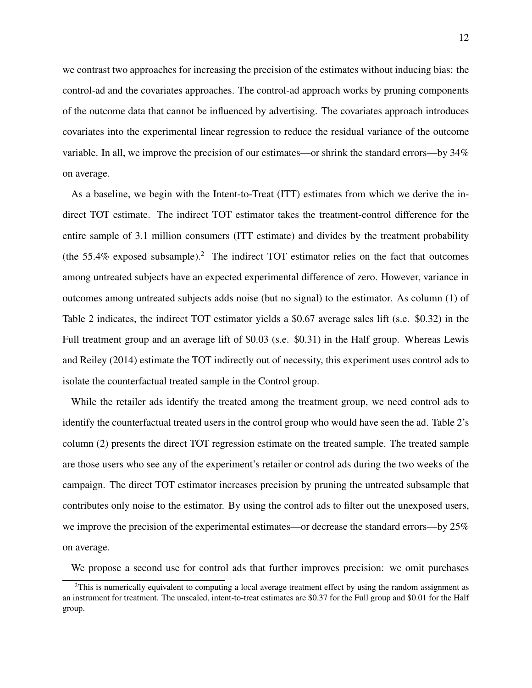12

we contrast two approaches for increasing the precision of the estimates without inducing bias: the control-ad and the covariates approaches. The control-ad approach works by pruning components of the outcome data that cannot be influenced by advertising. The covariates approach introduces covariates into the experimental linear regression to reduce the residual variance of the outcome variable. In all, we improve the precision of our estimates—or shrink the standard errors—by 34% on average.

As a baseline, we begin with the Intent-to-Treat (ITT) estimates from which we derive the indirect TOT estimate. The indirect TOT estimator takes the treatment-control difference for the entire sample of 3.1 million consumers (ITT estimate) and divides by the treatment probability (the 55.4% exposed subsample).<sup>2</sup> The indirect TOT estimator relies on the fact that outcomes among untreated subjects have an expected experimental difference of zero. However, variance in outcomes among untreated subjects adds noise (but no signal) to the estimator. As column (1) of Table 2 indicates, the indirect TOT estimator yields a \$0.67 average sales lift (s.e. \$0.32) in the Full treatment group and an average lift of \$0.03 (s.e. \$0.31) in the Half group. Whereas Lewis and Reiley (2014) estimate the TOT indirectly out of necessity, this experiment uses control ads to isolate the counterfactual treated sample in the Control group.

While the retailer ads identify the treated among the treatment group, we need control ads to identify the counterfactual treated users in the control group who would have seen the ad. Table 2's column (2) presents the direct TOT regression estimate on the treated sample. The treated sample are those users who see any of the experiment's retailer or control ads during the two weeks of the campaign. The direct TOT estimator increases precision by pruning the untreated subsample that contributes only noise to the estimator. By using the control ads to filter out the unexposed users, we improve the precision of the experimental estimates—or decrease the standard errors—by 25% on average.

We propose a second use for control ads that further improves precision: we omit purchases

<sup>&</sup>lt;sup>2</sup>This is numerically equivalent to computing a local average treatment effect by using the random assignment as an instrument for treatment. The unscaled, intent-to-treat estimates are \$0.37 for the Full group and \$0.01 for the Half group.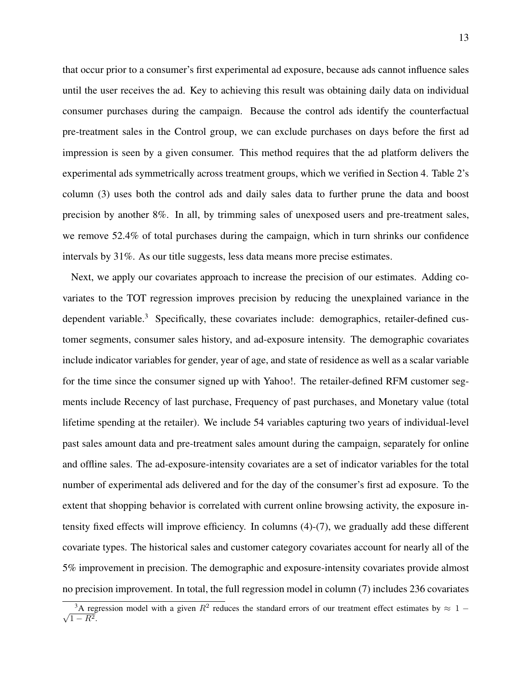that occur prior to a consumer's first experimental ad exposure, because ads cannot influence sales until the user receives the ad. Key to achieving this result was obtaining daily data on individual consumer purchases during the campaign. Because the control ads identify the counterfactual pre-treatment sales in the Control group, we can exclude purchases on days before the first ad impression is seen by a given consumer. This method requires that the ad platform delivers the experimental ads symmetrically across treatment groups, which we verified in Section 4. Table 2's column (3) uses both the control ads and daily sales data to further prune the data and boost precision by another 8%. In all, by trimming sales of unexposed users and pre-treatment sales, we remove 52.4% of total purchases during the campaign, which in turn shrinks our confidence intervals by 31%. As our title suggests, less data means more precise estimates.

Next, we apply our covariates approach to increase the precision of our estimates. Adding covariates to the TOT regression improves precision by reducing the unexplained variance in the dependent variable.<sup>3</sup> Specifically, these covariates include: demographics, retailer-defined customer segments, consumer sales history, and ad-exposure intensity. The demographic covariates include indicator variables for gender, year of age, and state of residence as well as a scalar variable for the time since the consumer signed up with Yahoo!. The retailer-defined RFM customer segments include Recency of last purchase, Frequency of past purchases, and Monetary value (total lifetime spending at the retailer). We include 54 variables capturing two years of individual-level past sales amount data and pre-treatment sales amount during the campaign, separately for online and offline sales. The ad-exposure-intensity covariates are a set of indicator variables for the total number of experimental ads delivered and for the day of the consumer's first ad exposure. To the extent that shopping behavior is correlated with current online browsing activity, the exposure intensity fixed effects will improve efficiency. In columns (4)-(7), we gradually add these different covariate types. The historical sales and customer category covariates account for nearly all of the 5% improvement in precision. The demographic and exposure-intensity covariates provide almost no precision improvement. In total, the full regression model in column (7) includes 236 covariates

<sup>&</sup>lt;sup>3</sup>A regression model with a given  $R^2$  reduces the standard errors of our treatment effect estimates by  $\approx 1$  –  $\sqrt{1 - R^2}$ .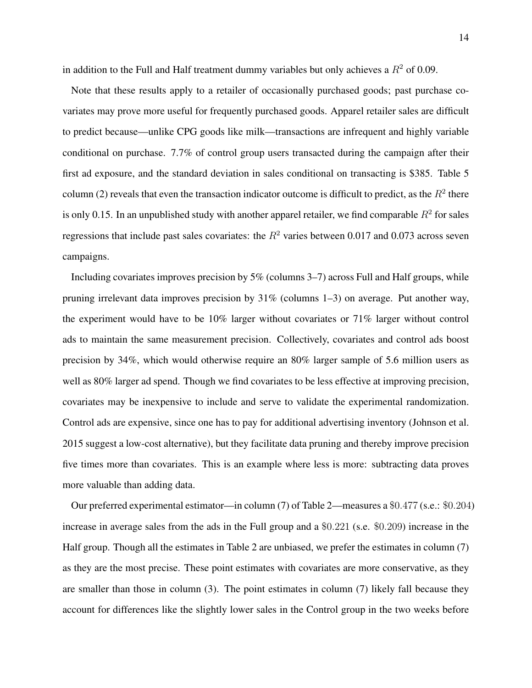in addition to the Full and Half treatment dummy variables but only achieves a  $R<sup>2</sup>$  of 0.09.

Note that these results apply to a retailer of occasionally purchased goods; past purchase covariates may prove more useful for frequently purchased goods. Apparel retailer sales are difficult to predict because—unlike CPG goods like milk—transactions are infrequent and highly variable conditional on purchase. 7.7% of control group users transacted during the campaign after their first ad exposure, and the standard deviation in sales conditional on transacting is \$385. Table 5 column (2) reveals that even the transaction indicator outcome is difficult to predict, as the  $R^2$  there is only 0.15. In an unpublished study with another apparel retailer, we find comparable  $R^2$  for sales regressions that include past sales covariates: the  $R^2$  varies between 0.017 and 0.073 across seven campaigns.

Including covariates improves precision by 5% (columns 3–7) across Full and Half groups, while pruning irrelevant data improves precision by 31% (columns 1–3) on average. Put another way, the experiment would have to be 10% larger without covariates or 71% larger without control ads to maintain the same measurement precision. Collectively, covariates and control ads boost precision by 34%, which would otherwise require an 80% larger sample of 5.6 million users as well as 80% larger ad spend. Though we find covariates to be less effective at improving precision, covariates may be inexpensive to include and serve to validate the experimental randomization. Control ads are expensive, since one has to pay for additional advertising inventory (Johnson et al. 2015 suggest a low-cost alternative), but they facilitate data pruning and thereby improve precision five times more than covariates. This is an example where less is more: subtracting data proves more valuable than adding data.

Our preferred experimental estimator—in column (7) of Table 2—measures a \$0.477 (s.e.: \$0.204) increase in average sales from the ads in the Full group and a \$0.221 (s.e. \$0.209) increase in the Half group. Though all the estimates in Table 2 are unbiased, we prefer the estimates in column (7) as they are the most precise. These point estimates with covariates are more conservative, as they are smaller than those in column (3). The point estimates in column (7) likely fall because they account for differences like the slightly lower sales in the Control group in the two weeks before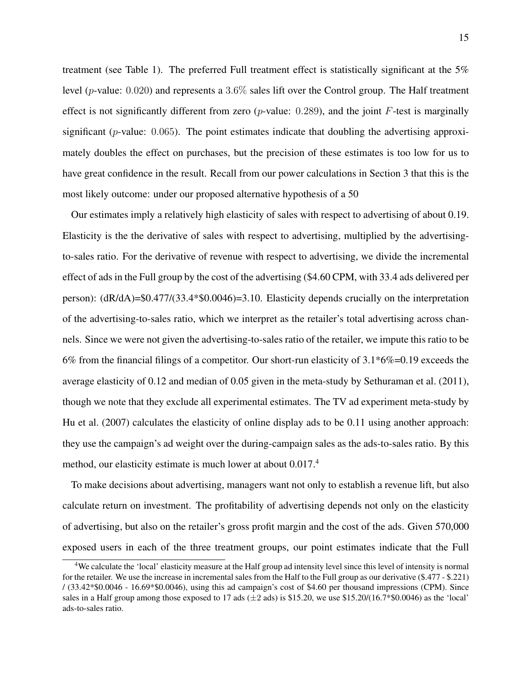treatment (see Table 1). The preferred Full treatment effect is statistically significant at the 5% level (p-value: 0.020) and represents a 3.6% sales lift over the Control group. The Half treatment effect is not significantly different from zero (p-value: 0.289), and the joint  $F$ -test is marginally significant ( $p$ -value: 0.065). The point estimates indicate that doubling the advertising approximately doubles the effect on purchases, but the precision of these estimates is too low for us to have great confidence in the result. Recall from our power calculations in Section 3 that this is the most likely outcome: under our proposed alternative hypothesis of a 50

Our estimates imply a relatively high elasticity of sales with respect to advertising of about 0.19. Elasticity is the the derivative of sales with respect to advertising, multiplied by the advertisingto-sales ratio. For the derivative of revenue with respect to advertising, we divide the incremental effect of ads in the Full group by the cost of the advertising (\$4.60 CPM, with 33.4 ads delivered per person): (dR/dA)=\$0.477/(33.4\*\$0.0046)=3.10. Elasticity depends crucially on the interpretation of the advertising-to-sales ratio, which we interpret as the retailer's total advertising across channels. Since we were not given the advertising-to-sales ratio of the retailer, we impute this ratio to be 6% from the financial filings of a competitor. Our short-run elasticity of 3.1\*6%=0.19 exceeds the average elasticity of 0.12 and median of 0.05 given in the meta-study by Sethuraman et al. (2011), though we note that they exclude all experimental estimates. The TV ad experiment meta-study by Hu et al. (2007) calculates the elasticity of online display ads to be 0.11 using another approach: they use the campaign's ad weight over the during-campaign sales as the ads-to-sales ratio. By this method, our elasticity estimate is much lower at about 0.017.<sup>4</sup>

To make decisions about advertising, managers want not only to establish a revenue lift, but also calculate return on investment. The profitability of advertising depends not only on the elasticity of advertising, but also on the retailer's gross profit margin and the cost of the ads. Given 570,000 exposed users in each of the three treatment groups, our point estimates indicate that the Full

<sup>&</sup>lt;sup>4</sup>We calculate the 'local' elasticity measure at the Half group ad intensity level since this level of intensity is normal for the retailer. We use the increase in incremental sales from the Half to the Full group as our derivative (\$.477 - \$.221) / (33.42\*\$0.0046 - 16.69\*\$0.0046), using this ad campaign's cost of \$4.60 per thousand impressions (CPM). Since sales in a Half group among those exposed to 17 ads  $(\pm 2 \text{ ads})$  is \$15.20, we use \$15.20/(16.7\*\$0.0046) as the 'local' ads-to-sales ratio.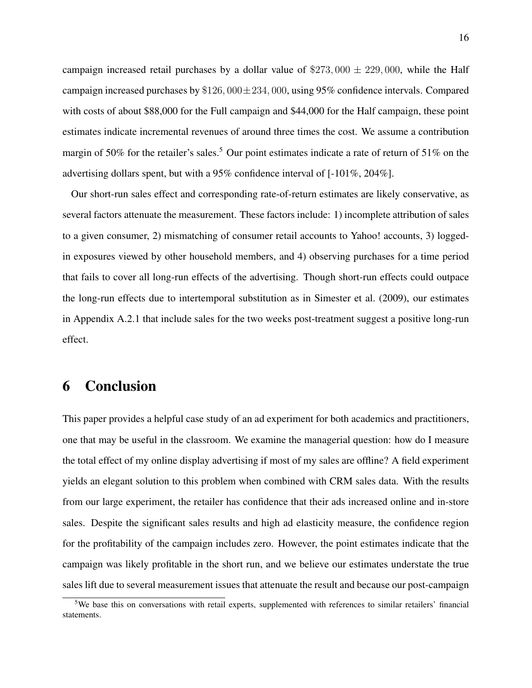campaign increased retail purchases by a dollar value of  $273,000 \pm 229,000$ , while the Half campaign increased purchases by  $$126,000 \pm 234,000$ , using 95% confidence intervals. Compared with costs of about \$88,000 for the Full campaign and \$44,000 for the Half campaign, these point estimates indicate incremental revenues of around three times the cost. We assume a contribution margin of 50% for the retailer's sales.<sup>5</sup> Our point estimates indicate a rate of return of 51% on the advertising dollars spent, but with a 95% confidence interval of [-101%, 204%].

Our short-run sales effect and corresponding rate-of-return estimates are likely conservative, as several factors attenuate the measurement. These factors include: 1) incomplete attribution of sales to a given consumer, 2) mismatching of consumer retail accounts to Yahoo! accounts, 3) loggedin exposures viewed by other household members, and 4) observing purchases for a time period that fails to cover all long-run effects of the advertising. Though short-run effects could outpace the long-run effects due to intertemporal substitution as in Simester et al. (2009), our estimates in Appendix A.2.1 that include sales for the two weeks post-treatment suggest a positive long-run effect.

### 6 Conclusion

This paper provides a helpful case study of an ad experiment for both academics and practitioners, one that may be useful in the classroom. We examine the managerial question: how do I measure the total effect of my online display advertising if most of my sales are offline? A field experiment yields an elegant solution to this problem when combined with CRM sales data. With the results from our large experiment, the retailer has confidence that their ads increased online and in-store sales. Despite the significant sales results and high ad elasticity measure, the confidence region for the profitability of the campaign includes zero. However, the point estimates indicate that the campaign was likely profitable in the short run, and we believe our estimates understate the true sales lift due to several measurement issues that attenuate the result and because our post-campaign

<sup>5</sup>We base this on conversations with retail experts, supplemented with references to similar retailers' financial statements.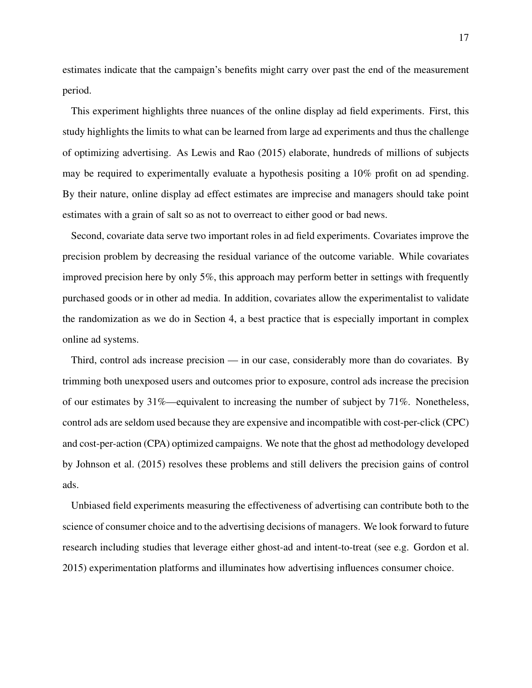estimates indicate that the campaign's benefits might carry over past the end of the measurement period.

This experiment highlights three nuances of the online display ad field experiments. First, this study highlights the limits to what can be learned from large ad experiments and thus the challenge of optimizing advertising. As Lewis and Rao (2015) elaborate, hundreds of millions of subjects may be required to experimentally evaluate a hypothesis positing a 10% profit on ad spending. By their nature, online display ad effect estimates are imprecise and managers should take point estimates with a grain of salt so as not to overreact to either good or bad news.

Second, covariate data serve two important roles in ad field experiments. Covariates improve the precision problem by decreasing the residual variance of the outcome variable. While covariates improved precision here by only 5%, this approach may perform better in settings with frequently purchased goods or in other ad media. In addition, covariates allow the experimentalist to validate the randomization as we do in Section 4, a best practice that is especially important in complex online ad systems.

Third, control ads increase precision — in our case, considerably more than do covariates. By trimming both unexposed users and outcomes prior to exposure, control ads increase the precision of our estimates by  $31\%$ —equivalent to increasing the number of subject by  $71\%$ . Nonetheless, control ads are seldom used because they are expensive and incompatible with cost-per-click (CPC) and cost-per-action (CPA) optimized campaigns. We note that the ghost ad methodology developed by Johnson et al. (2015) resolves these problems and still delivers the precision gains of control ads.

Unbiased field experiments measuring the effectiveness of advertising can contribute both to the science of consumer choice and to the advertising decisions of managers. We look forward to future research including studies that leverage either ghost-ad and intent-to-treat (see e.g. Gordon et al. 2015) experimentation platforms and illuminates how advertising influences consumer choice.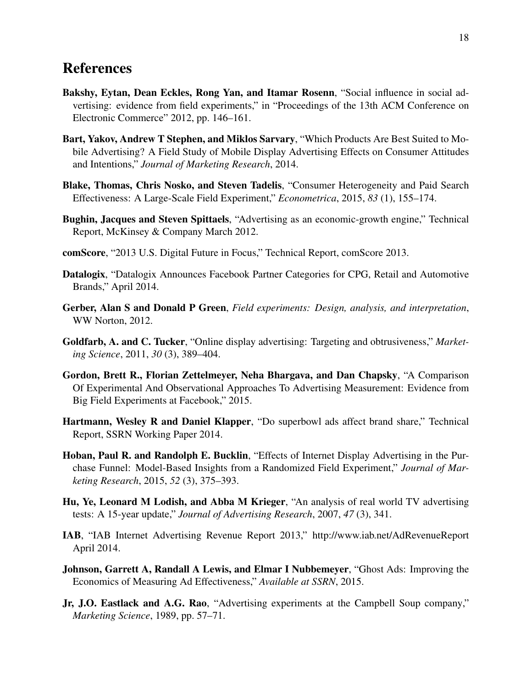# References

- Bakshy, Eytan, Dean Eckles, Rong Yan, and Itamar Rosenn, "Social influence in social advertising: evidence from field experiments," in "Proceedings of the 13th ACM Conference on Electronic Commerce" 2012, pp. 146–161.
- Bart, Yakov, Andrew T Stephen, and Miklos Sarvary, "Which Products Are Best Suited to Mobile Advertising? A Field Study of Mobile Display Advertising Effects on Consumer Attitudes and Intentions," *Journal of Marketing Research*, 2014.
- Blake, Thomas, Chris Nosko, and Steven Tadelis, "Consumer Heterogeneity and Paid Search Effectiveness: A Large-Scale Field Experiment," *Econometrica*, 2015, *83* (1), 155–174.
- Bughin, Jacques and Steven Spittaels, "Advertising as an economic-growth engine," Technical Report, McKinsey & Company March 2012.
- comScore, "2013 U.S. Digital Future in Focus," Technical Report, comScore 2013.
- Datalogix, "Datalogix Announces Facebook Partner Categories for CPG, Retail and Automotive Brands," April 2014.
- Gerber, Alan S and Donald P Green, *Field experiments: Design, analysis, and interpretation*, WW Norton, 2012.
- Goldfarb, A. and C. Tucker, "Online display advertising: Targeting and obtrusiveness," *Marketing Science*, 2011, *30* (3), 389–404.
- Gordon, Brett R., Florian Zettelmeyer, Neha Bhargava, and Dan Chapsky, "A Comparison Of Experimental And Observational Approaches To Advertising Measurement: Evidence from Big Field Experiments at Facebook," 2015.
- Hartmann, Wesley R and Daniel Klapper, "Do superbowl ads affect brand share," Technical Report, SSRN Working Paper 2014.
- Hoban, Paul R. and Randolph E. Bucklin, "Effects of Internet Display Advertising in the Purchase Funnel: Model-Based Insights from a Randomized Field Experiment," *Journal of Marketing Research*, 2015, *52* (3), 375–393.
- Hu, Ye, Leonard M Lodish, and Abba M Krieger, "An analysis of real world TV advertising tests: A 15-year update," *Journal of Advertising Research*, 2007, *47* (3), 341.
- IAB, "IAB Internet Advertising Revenue Report 2013," http://www.iab.net/AdRevenueReport April 2014.
- Johnson, Garrett A, Randall A Lewis, and Elmar I Nubbemeyer, "Ghost Ads: Improving the Economics of Measuring Ad Effectiveness," *Available at SSRN*, 2015.
- Jr, J.O. Eastlack and A.G. Rao, "Advertising experiments at the Campbell Soup company," *Marketing Science*, 1989, pp. 57–71.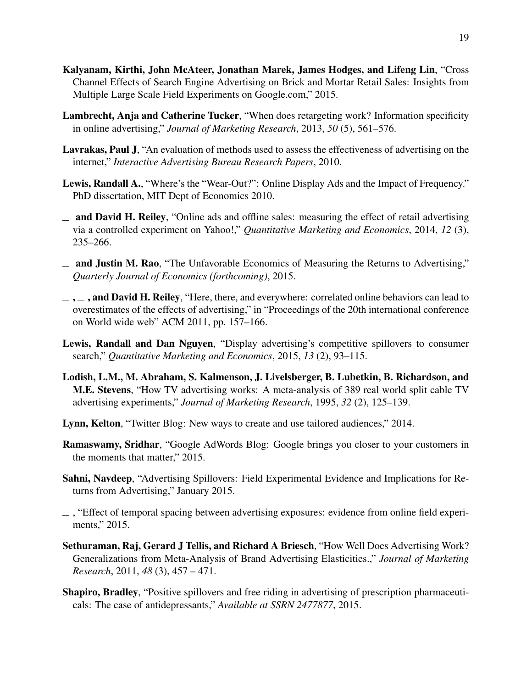- Kalyanam, Kirthi, John McAteer, Jonathan Marek, James Hodges, and Lifeng Lin, "Cross Channel Effects of Search Engine Advertising on Brick and Mortar Retail Sales: Insights from Multiple Large Scale Field Experiments on Google.com," 2015.
- Lambrecht, Anja and Catherine Tucker, "When does retargeting work? Information specificity in online advertising," *Journal of Marketing Research*, 2013, *50* (5), 561–576.
- Lavrakas, Paul J, "An evaluation of methods used to assess the effectiveness of advertising on the internet," *Interactive Advertising Bureau Research Papers*, 2010.
- Lewis, Randall A., "Where's the "Wear-Out?": Online Display Ads and the Impact of Frequency." PhD dissertation, MIT Dept of Economics 2010.
- $-$  and David H. Reiley, "Online ads and offline sales: measuring the effect of retail advertising via a controlled experiment on Yahoo!," *Quantitative Marketing and Economics*, 2014, *12* (3), 235–266.
- $\Box$  and Justin M. Rao, "The Unfavorable Economics of Measuring the Returns to Advertising." *Quarterly Journal of Economics (forthcoming)*, 2015.
- $\ldots$ , and David H. Reiley, "Here, there, and everywhere: correlated online behaviors can lead to overestimates of the effects of advertising," in "Proceedings of the 20th international conference on World wide web" ACM 2011, pp. 157–166.
- Lewis, Randall and Dan Nguyen, "Display advertising's competitive spillovers to consumer search," *Quantitative Marketing and Economics*, 2015, *13* (2), 93–115.
- Lodish, L.M., M. Abraham, S. Kalmenson, J. Livelsberger, B. Lubetkin, B. Richardson, and M.E. Stevens, "How TV advertising works: A meta-analysis of 389 real world split cable TV advertising experiments," *Journal of Marketing Research*, 1995, *32* (2), 125–139.
- Lynn, Kelton, "Twitter Blog: New ways to create and use tailored audiences," 2014.
- Ramaswamy, Sridhar, "Google AdWords Blog: Google brings you closer to your customers in the moments that matter," 2015.
- Sahni, Navdeep, "Advertising Spillovers: Field Experimental Evidence and Implications for Returns from Advertising," January 2015.
- $\overline{\phantom{a}}$ , "Effect of temporal spacing between advertising exposures: evidence from online field experiments," 2015.
- Sethuraman, Raj, Gerard J Tellis, and Richard A Briesch, "How Well Does Advertising Work? Generalizations from Meta-Analysis of Brand Advertising Elasticities.," *Journal of Marketing Research*, 2011, *48* (3), 457 – 471.
- Shapiro, Bradley, "Positive spillovers and free riding in advertising of prescription pharmaceuticals: The case of antidepressants," *Available at SSRN 2477877*, 2015.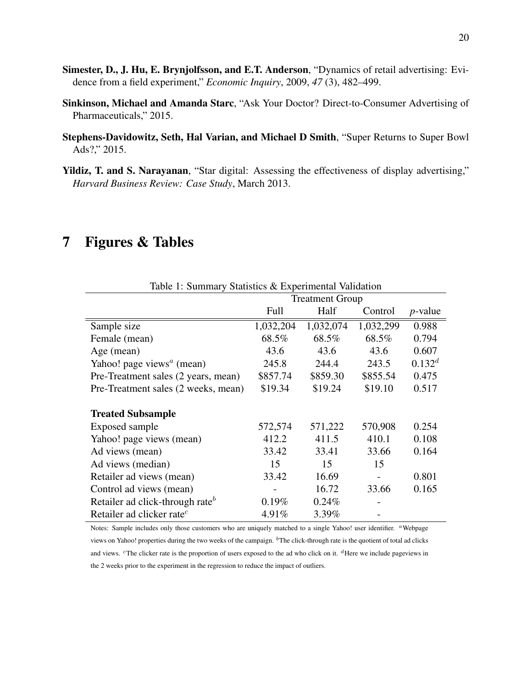- Simester, D., J. Hu, E. Brynjolfsson, and E.T. Anderson, "Dynamics of retail advertising: Evidence from a field experiment," *Economic Inquiry*, 2009, *47* (3), 482–499.
- Sinkinson, Michael and Amanda Starc, "Ask Your Doctor? Direct-to-Consumer Advertising of Pharmaceuticals," 2015.
- Stephens-Davidowitz, Seth, Hal Varian, and Michael D Smith, "Super Returns to Super Bowl Ads?," 2015.
- Yildiz, T. and S. Narayanan, "Star digital: Assessing the effectiveness of display advertising," *Harvard Business Review: Case Study*, March 2013.

### 7 Figures & Tables

| Table 1: Summary Statistics & Experimental Validation |           |                        |           |             |
|-------------------------------------------------------|-----------|------------------------|-----------|-------------|
|                                                       |           | <b>Treatment Group</b> |           |             |
|                                                       | Full      | Half                   | Control   | $p$ -value  |
| Sample size                                           | 1,032,204 | 1,032,074              | 1,032,299 | 0.988       |
| Female (mean)                                         | 68.5%     | 68.5%                  | 68.5%     | 0.794       |
| Age (mean)                                            | 43.6      | 43.6                   | 43.6      | 0.607       |
| Yahoo! page views <sup><math>a</math></sup> (mean)    | 245.8     | 244.4                  | 243.5     | $0.132^{d}$ |
| Pre-Treatment sales (2 years, mean)                   | \$857.74  | \$859.30               | \$855.54  | 0.475       |
| Pre-Treatment sales (2 weeks, mean)                   | \$19.34   | \$19.24                | \$19.10   | 0.517       |
| <b>Treated Subsample</b>                              |           |                        |           |             |
| Exposed sample                                        | 572,574   | 571,222                | 570,908   | 0.254       |
| Yahoo! page views (mean)                              | 412.2     | 411.5                  | 410.1     | 0.108       |
| Ad views (mean)                                       | 33.42     | 33.41                  | 33.66     | 0.164       |
| Ad views (median)                                     | 15        | 15                     | 15        |             |
| Retailer ad views (mean)                              | 33.42     | 16.69                  |           | 0.801       |
| Control ad views (mean)                               |           | 16.72                  | 33.66     | 0.165       |
| Retailer ad click-through rate <sup>b</sup>           | 0.19%     | 0.24%                  |           |             |
| Retailer ad clicker rate <sup>c</sup>                 | 4.91%     | 3.39%                  |           |             |

Notes: Sample includes only those customers who are uniquely matched to a single Yahoo! user identifier. <sup>a</sup>Webpage views on Yahoo! properties during the two weeks of the campaign. <sup>b</sup>The click-through rate is the quotient of total ad clicks and views. <sup>c</sup>The clicker rate is the proportion of users exposed to the ad who click on it.  $d$ Here we include pageviews in the 2 weeks prior to the experiment in the regression to reduce the impact of outliers.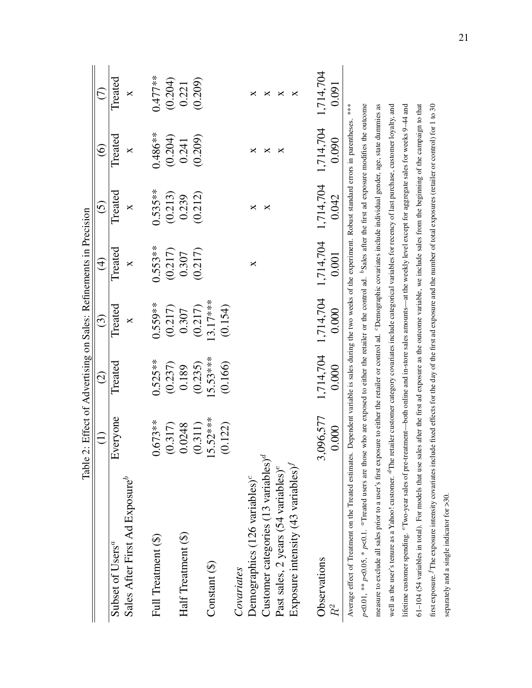|                                                                                                                                                                                               | Table 2: Effect of Advertising on Sales: Refinements in Precision |                                                                                                                |                         |                                                            |                                                 |                      |                      |
|-----------------------------------------------------------------------------------------------------------------------------------------------------------------------------------------------|-------------------------------------------------------------------|----------------------------------------------------------------------------------------------------------------|-------------------------|------------------------------------------------------------|-------------------------------------------------|----------------------|----------------------|
|                                                                                                                                                                                               | $\bigoplus$                                                       | $\widehat{\odot}$                                                                                              | $\widehat{c}$           | $\widehat{\mathcal{A}}$                                    | $\widehat{S}$                                   | $\widehat{\circ}$    | C)                   |
| Subset of Users <sup>a</sup>                                                                                                                                                                  | eryone<br>口                                                       | Treated                                                                                                        | Treated                 | Treated                                                    | Treated                                         | Treated              | Treated              |
| Sales After First Ad Exposure <sup>b</sup>                                                                                                                                                    |                                                                   |                                                                                                                | $\times$                | $\times$                                                   | $\times$                                        | $\mathsf{X}$         | ×                    |
| Full Treatment (\$)                                                                                                                                                                           | $.673**$<br>$\dot{\mathbf{\circ}}$                                | $0.525**$                                                                                                      | $0.559**$               |                                                            | $0.535**$                                       | $0.486***$           | $0.477$ **           |
|                                                                                                                                                                                               | (0.317)                                                           | (0.237)                                                                                                        |                         | $\begin{array}{c} 0.553** \\ (0.217) \\ 0.307 \end{array}$ |                                                 |                      | $(0.204)$<br>$0.221$ |
| Half Treatment (\$)                                                                                                                                                                           | 0.0248                                                            | 0.189                                                                                                          | $\frac{(0.217)}{0.307}$ |                                                            | $\begin{array}{c} (0.213) \\ 0.239 \end{array}$ | $(0.204)$<br>$0.241$ |                      |
|                                                                                                                                                                                               | (0.311)                                                           | (0.235)                                                                                                        | (0.217)                 | (0.217)                                                    | (0.212)                                         | (0.209)              | (0.209)              |
| Constant (\$)                                                                                                                                                                                 | $15.52***$                                                        | $5.53***$                                                                                                      | $3.17***$               |                                                            |                                                 |                      |                      |
|                                                                                                                                                                                               | (0.122)                                                           | (0.166)                                                                                                        | (0.154)                 |                                                            |                                                 |                      |                      |
| Covariates                                                                                                                                                                                    |                                                                   |                                                                                                                |                         |                                                            |                                                 |                      |                      |
| Demographics (126 variables) <sup>c</sup>                                                                                                                                                     |                                                                   |                                                                                                                |                         | ×                                                          | ×                                               | ×                    | ×                    |
| Customer categories $(13 \text{ variables})^d$                                                                                                                                                |                                                                   |                                                                                                                |                         |                                                            | ×                                               | ×                    | ×                    |
| Past sales, 2 years $(54 \text{ variables})^e$                                                                                                                                                |                                                                   |                                                                                                                |                         |                                                            |                                                 | ×                    | ×                    |
| Exposure intensity $(43 \text{ variables})^f$                                                                                                                                                 |                                                                   |                                                                                                                |                         |                                                            |                                                 |                      | ×                    |
| Observations                                                                                                                                                                                  | 3,096,577                                                         | 1,714,704                                                                                                      | 1,714,704               | 1,714,704                                                  | 1,714,704                                       | 1,714,704            | 1,714,704            |
| $R^2$                                                                                                                                                                                         | 0.000                                                             | 0.000                                                                                                          | 0.000                   | 0.001                                                      | 0.042                                           | 0.090                | 0.091                |
| Average effect of Treatment on the Treated estimates.                                                                                                                                         |                                                                   | Dependent variable is sales during the two weeks of the experiment. Robust standard errors in parentheses. *** |                         |                                                            |                                                 |                      |                      |
| p<0.01, ** p<0.05, * p<0.1. "Treated users are those who are exposed to either the retailer or the control ad. <sup>b</sup> Sales after the first ad exposure modifies the outcome            |                                                                   |                                                                                                                |                         |                                                            |                                                 |                      |                      |
| measure to exclude all sales prior to a user's first exposure to either the retailer or control ad. <sup>c</sup> Demographic covariates include individual gender, age, state dummies as      |                                                                   |                                                                                                                |                         |                                                            |                                                 |                      |                      |
| well as the user's tenure as a Yahoo! customer. <sup>4</sup> The retailer customer category covariates include categorical variables for recency of last purchase, customer loyalty, and      |                                                                   |                                                                                                                |                         |                                                            |                                                 |                      |                      |
| lifetime customer spending. <sup>eT</sup> Iwo-year sales of pre-treatment—both online and in-store sales amounts—at the weekly level except for aggregate sales for weeks 9-44 and            |                                                                   |                                                                                                                |                         |                                                            |                                                 |                      |                      |
| 61-104 (54 variables in total). For models that use sales after the first ad exposure as the outcome variable, we include sales from the beginning of the campaign to that                    |                                                                   |                                                                                                                |                         |                                                            |                                                 |                      |                      |
| first exposure. <sup>1</sup> The exposure intensity covariates include fixed effects for the day of the first ad exposure and the number of total exposures (retailer or control) for 1 to 30 |                                                                   |                                                                                                                |                         |                                                            |                                                 |                      |                      |
| separately and a single indicator for >30.                                                                                                                                                    |                                                                   |                                                                                                                |                         |                                                            |                                                 |                      |                      |

21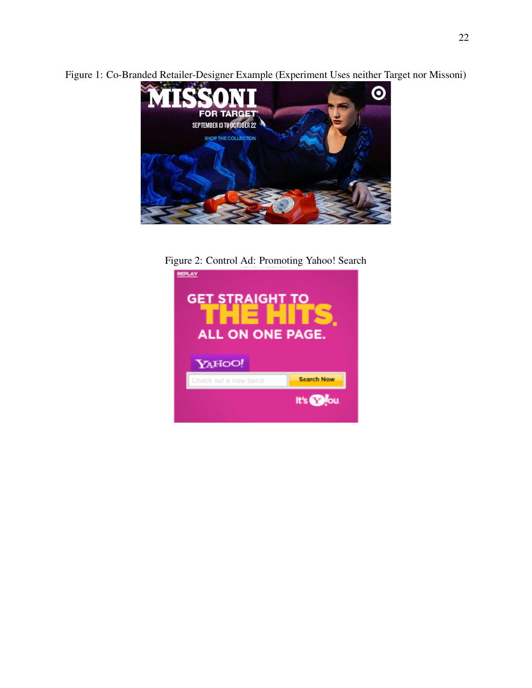Figure 1: Co-Branded Retailer-Designer Example (Experiment Uses neither Target nor Missoni)



Figure 2: Control Ad: Promoting Yahoo! Search

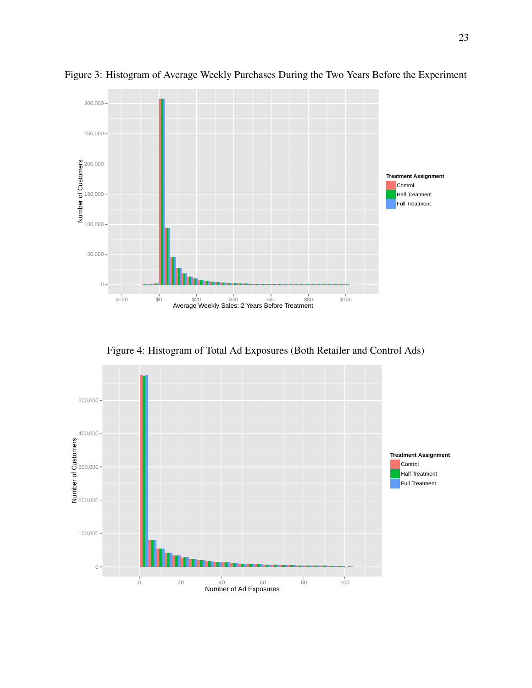

Figure 3: Histogram of Average Weekly Purchases During the Two Years Before the Experiment

Figure 4: Histogram of Total Ad Exposures (Both Retailer and Control Ads)

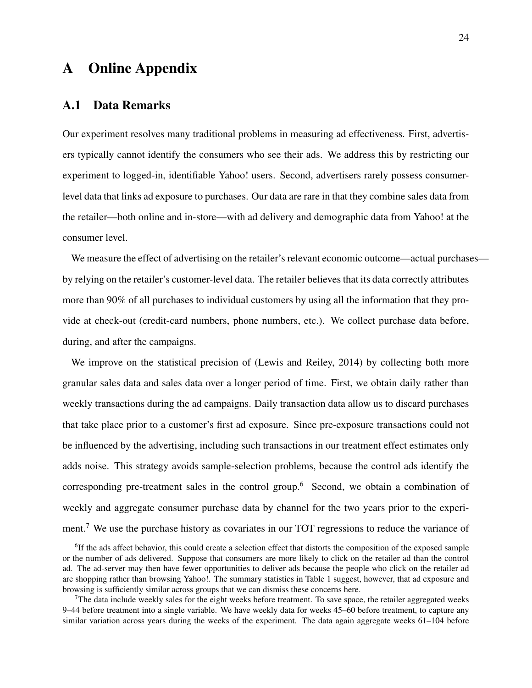### A Online Appendix

#### A.1 Data Remarks

Our experiment resolves many traditional problems in measuring ad effectiveness. First, advertisers typically cannot identify the consumers who see their ads. We address this by restricting our experiment to logged-in, identifiable Yahoo! users. Second, advertisers rarely possess consumerlevel data that links ad exposure to purchases. Our data are rare in that they combine sales data from the retailer—both online and in-store—with ad delivery and demographic data from Yahoo! at the consumer level.

We measure the effect of advertising on the retailer's relevant economic outcome—actual purchases by relying on the retailer's customer-level data. The retailer believes that its data correctly attributes more than 90% of all purchases to individual customers by using all the information that they provide at check-out (credit-card numbers, phone numbers, etc.). We collect purchase data before, during, and after the campaigns.

We improve on the statistical precision of (Lewis and Reiley, 2014) by collecting both more granular sales data and sales data over a longer period of time. First, we obtain daily rather than weekly transactions during the ad campaigns. Daily transaction data allow us to discard purchases that take place prior to a customer's first ad exposure. Since pre-exposure transactions could not be influenced by the advertising, including such transactions in our treatment effect estimates only adds noise. This strategy avoids sample-selection problems, because the control ads identify the corresponding pre-treatment sales in the control group.<sup>6</sup> Second, we obtain a combination of weekly and aggregate consumer purchase data by channel for the two years prior to the experiment.<sup>7</sup> We use the purchase history as covariates in our TOT regressions to reduce the variance of

<sup>&</sup>lt;sup>6</sup>If the ads affect behavior, this could create a selection effect that distorts the composition of the exposed sample or the number of ads delivered. Suppose that consumers are more likely to click on the retailer ad than the control ad. The ad-server may then have fewer opportunities to deliver ads because the people who click on the retailer ad are shopping rather than browsing Yahoo!. The summary statistics in Table 1 suggest, however, that ad exposure and browsing is sufficiently similar across groups that we can dismiss these concerns here.

 $7$ The data include weekly sales for the eight weeks before treatment. To save space, the retailer aggregated weeks 9–44 before treatment into a single variable. We have weekly data for weeks 45–60 before treatment, to capture any similar variation across years during the weeks of the experiment. The data again aggregate weeks 61–104 before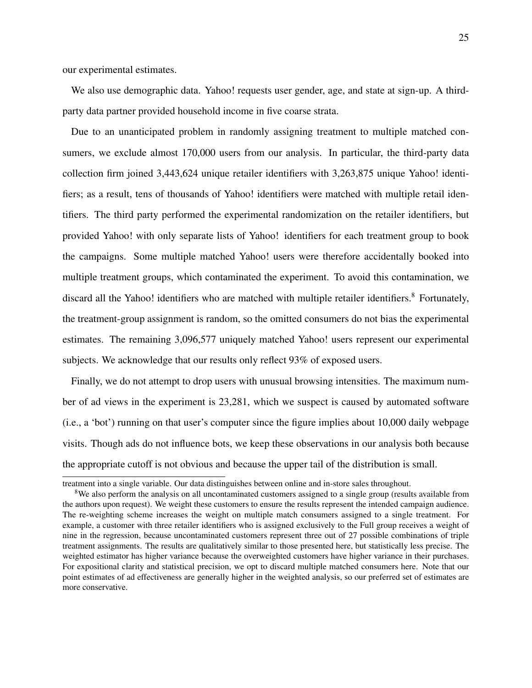our experimental estimates.

We also use demographic data. Yahoo! requests user gender, age, and state at sign-up. A thirdparty data partner provided household income in five coarse strata.

Due to an unanticipated problem in randomly assigning treatment to multiple matched consumers, we exclude almost 170,000 users from our analysis. In particular, the third-party data collection firm joined 3,443,624 unique retailer identifiers with 3,263,875 unique Yahoo! identifiers; as a result, tens of thousands of Yahoo! identifiers were matched with multiple retail identifiers. The third party performed the experimental randomization on the retailer identifiers, but provided Yahoo! with only separate lists of Yahoo! identifiers for each treatment group to book the campaigns. Some multiple matched Yahoo! users were therefore accidentally booked into multiple treatment groups, which contaminated the experiment. To avoid this contamination, we discard all the Yahoo! identifiers who are matched with multiple retailer identifiers.<sup>8</sup> Fortunately, the treatment-group assignment is random, so the omitted consumers do not bias the experimental estimates. The remaining 3,096,577 uniquely matched Yahoo! users represent our experimental subjects. We acknowledge that our results only reflect 93% of exposed users.

Finally, we do not attempt to drop users with unusual browsing intensities. The maximum number of ad views in the experiment is 23,281, which we suspect is caused by automated software (i.e., a 'bot') running on that user's computer since the figure implies about 10,000 daily webpage visits. Though ads do not influence bots, we keep these observations in our analysis both because the appropriate cutoff is not obvious and because the upper tail of the distribution is small.

treatment into a single variable. Our data distinguishes between online and in-store sales throughout.

<sup>&</sup>lt;sup>8</sup>We also perform the analysis on all uncontaminated customers assigned to a single group (results available from the authors upon request). We weight these customers to ensure the results represent the intended campaign audience. The re-weighting scheme increases the weight on multiple match consumers assigned to a single treatment. For example, a customer with three retailer identifiers who is assigned exclusively to the Full group receives a weight of nine in the regression, because uncontaminated customers represent three out of 27 possible combinations of triple treatment assignments. The results are qualitatively similar to those presented here, but statistically less precise. The weighted estimator has higher variance because the overweighted customers have higher variance in their purchases. For expositional clarity and statistical precision, we opt to discard multiple matched consumers here. Note that our point estimates of ad effectiveness are generally higher in the weighted analysis, so our preferred set of estimates are more conservative.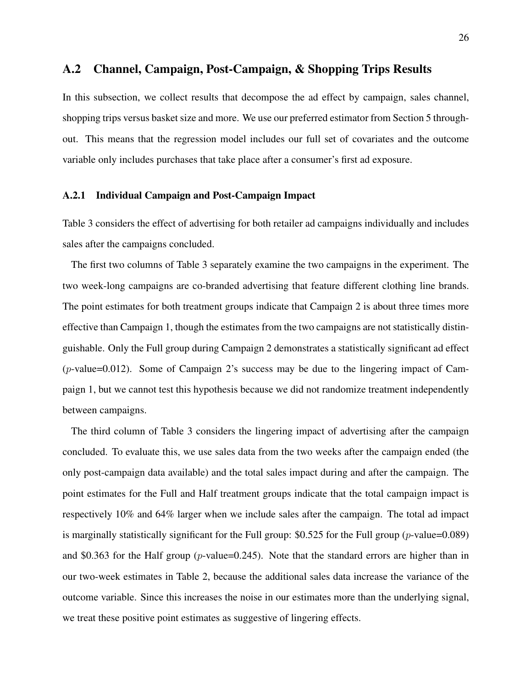#### A.2 Channel, Campaign, Post-Campaign, & Shopping Trips Results

In this subsection, we collect results that decompose the ad effect by campaign, sales channel, shopping trips versus basket size and more. We use our preferred estimator from Section 5 throughout. This means that the regression model includes our full set of covariates and the outcome variable only includes purchases that take place after a consumer's first ad exposure.

#### A.2.1 Individual Campaign and Post-Campaign Impact

Table 3 considers the effect of advertising for both retailer ad campaigns individually and includes sales after the campaigns concluded.

The first two columns of Table 3 separately examine the two campaigns in the experiment. The two week-long campaigns are co-branded advertising that feature different clothing line brands. The point estimates for both treatment groups indicate that Campaign 2 is about three times more effective than Campaign 1, though the estimates from the two campaigns are not statistically distinguishable. Only the Full group during Campaign 2 demonstrates a statistically significant ad effect  $(p$ -value=0.012). Some of Campaign 2's success may be due to the lingering impact of Campaign 1, but we cannot test this hypothesis because we did not randomize treatment independently between campaigns.

The third column of Table 3 considers the lingering impact of advertising after the campaign concluded. To evaluate this, we use sales data from the two weeks after the campaign ended (the only post-campaign data available) and the total sales impact during and after the campaign. The point estimates for the Full and Half treatment groups indicate that the total campaign impact is respectively 10% and 64% larger when we include sales after the campaign. The total ad impact is marginally statistically significant for the Full group:  $$0.525$  for the Full group (p-value=0.089) and \$0.363 for the Half group ( $p$ -value=0.245). Note that the standard errors are higher than in our two-week estimates in Table 2, because the additional sales data increase the variance of the outcome variable. Since this increases the noise in our estimates more than the underlying signal, we treat these positive point estimates as suggestive of lingering effects.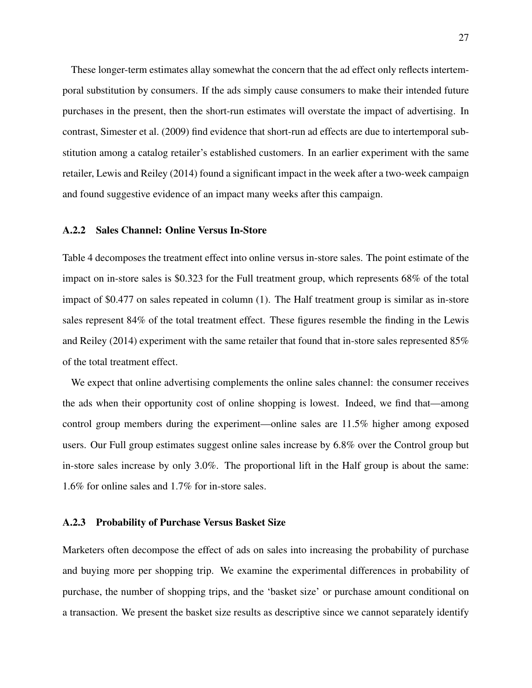These longer-term estimates allay somewhat the concern that the ad effect only reflects intertemporal substitution by consumers. If the ads simply cause consumers to make their intended future purchases in the present, then the short-run estimates will overstate the impact of advertising. In contrast, Simester et al. (2009) find evidence that short-run ad effects are due to intertemporal substitution among a catalog retailer's established customers. In an earlier experiment with the same retailer, Lewis and Reiley (2014) found a significant impact in the week after a two-week campaign and found suggestive evidence of an impact many weeks after this campaign.

#### A.2.2 Sales Channel: Online Versus In-Store

Table 4 decomposes the treatment effect into online versus in-store sales. The point estimate of the impact on in-store sales is \$0.323 for the Full treatment group, which represents 68% of the total impact of \$0.477 on sales repeated in column (1). The Half treatment group is similar as in-store sales represent 84% of the total treatment effect. These figures resemble the finding in the Lewis and Reiley (2014) experiment with the same retailer that found that in-store sales represented 85% of the total treatment effect.

We expect that online advertising complements the online sales channel: the consumer receives the ads when their opportunity cost of online shopping is lowest. Indeed, we find that—among control group members during the experiment—online sales are 11.5% higher among exposed users. Our Full group estimates suggest online sales increase by 6.8% over the Control group but in-store sales increase by only 3.0%. The proportional lift in the Half group is about the same: 1.6% for online sales and 1.7% for in-store sales.

#### A.2.3 Probability of Purchase Versus Basket Size

Marketers often decompose the effect of ads on sales into increasing the probability of purchase and buying more per shopping trip. We examine the experimental differences in probability of purchase, the number of shopping trips, and the 'basket size' or purchase amount conditional on a transaction. We present the basket size results as descriptive since we cannot separately identify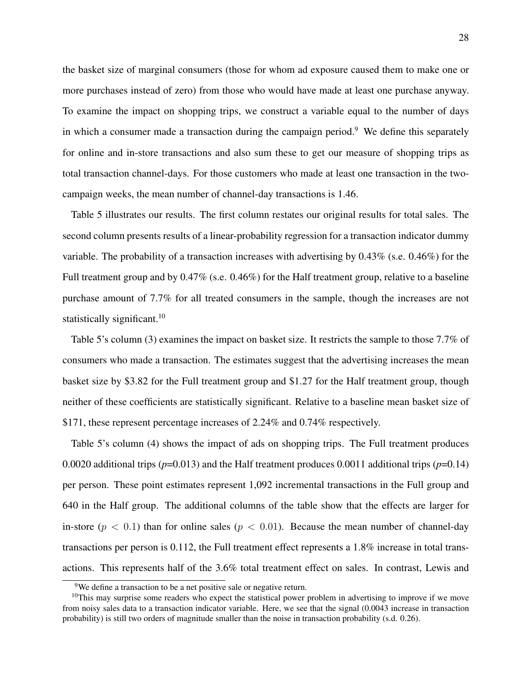the basket size of marginal consumers (those for whom ad exposure caused them to make one or more purchases instead of zero) from those who would have made at least one purchase anyway. To examine the impact on shopping trips, we construct a variable equal to the number of days in which a consumer made a transaction during the campaign period.<sup>9</sup> We define this separately for online and in-store transactions and also sum these to get our measure of shopping trips as total transaction channel-days. For those customers who made at least one transaction in the twocampaign weeks, the mean number of channel-day transactions is 1.46.

Table 5 illustrates our results. The first column restates our original results for total sales. The second column presents results of a linear-probability regression for a transaction indicator dummy variable. The probability of a transaction increases with advertising by 0.43% (s.e. 0.46%) for the Full treatment group and by 0.47% (s.e. 0.46%) for the Half treatment group, relative to a baseline purchase amount of 7.7% for all treated consumers in the sample, though the increases are not statistically significant.<sup>10</sup>

Table 5's column (3) examines the impact on basket size. It restricts the sample to those 7.7% of consumers who made a transaction. The estimates suggest that the advertising increases the mean basket size by \$3.82 for the Full treatment group and \$1.27 for the Half treatment group, though neither of these coefficients are statistically significant. Relative to a baseline mean basket size of \$171, these represent percentage increases of 2.24% and 0.74% respectively.

Table 5's column (4) shows the impact of ads on shopping trips. The Full treatment produces 0.0020 additional trips (*p*=0.013) and the Half treatment produces 0.0011 additional trips (*p*=0.14) per person. These point estimates represent 1,092 incremental transactions in the Full group and 640 in the Half group. The additional columns of the table show that the effects are larger for in-store ( $p < 0.1$ ) than for online sales ( $p < 0.01$ ). Because the mean number of channel-day transactions per person is 0.112, the Full treatment effect represents a 1.8% increase in total transactions. This represents half of the 3.6% total treatment effect on sales. In contrast, Lewis and

<sup>&</sup>lt;sup>9</sup>We define a transaction to be a net positive sale or negative return.

<sup>&</sup>lt;sup>10</sup>This may surprise some readers who expect the statistical power problem in advertising to improve if we move from noisy sales data to a transaction indicator variable. Here, we see that the signal (0.0043 increase in transaction probability) is still two orders of magnitude smaller than the noise in transaction probability (s.d. 0.26).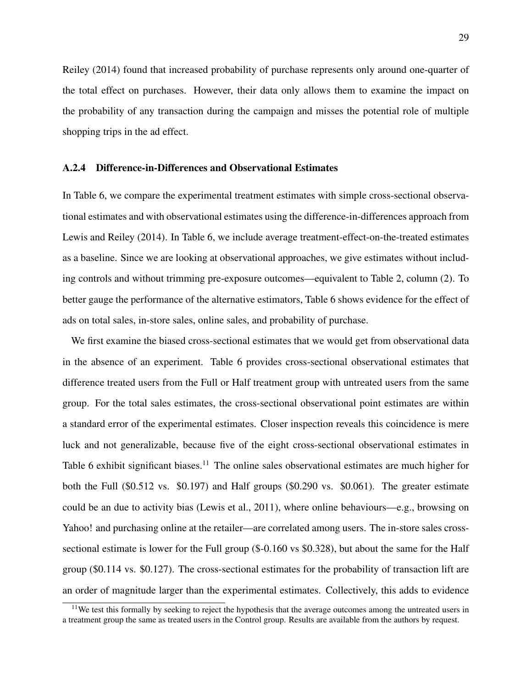Reiley (2014) found that increased probability of purchase represents only around one-quarter of the total effect on purchases. However, their data only allows them to examine the impact on the probability of any transaction during the campaign and misses the potential role of multiple shopping trips in the ad effect.

#### A.2.4 Difference-in-Differences and Observational Estimates

In Table 6, we compare the experimental treatment estimates with simple cross-sectional observational estimates and with observational estimates using the difference-in-differences approach from Lewis and Reiley (2014). In Table 6, we include average treatment-effect-on-the-treated estimates as a baseline. Since we are looking at observational approaches, we give estimates without including controls and without trimming pre-exposure outcomes—equivalent to Table 2, column (2). To better gauge the performance of the alternative estimators, Table 6 shows evidence for the effect of ads on total sales, in-store sales, online sales, and probability of purchase.

We first examine the biased cross-sectional estimates that we would get from observational data in the absence of an experiment. Table 6 provides cross-sectional observational estimates that difference treated users from the Full or Half treatment group with untreated users from the same group. For the total sales estimates, the cross-sectional observational point estimates are within a standard error of the experimental estimates. Closer inspection reveals this coincidence is mere luck and not generalizable, because five of the eight cross-sectional observational estimates in Table 6 exhibit significant biases.<sup>11</sup> The online sales observational estimates are much higher for both the Full (\$0.512 vs. \$0.197) and Half groups (\$0.290 vs. \$0.061). The greater estimate could be an due to activity bias (Lewis et al., 2011), where online behaviours—e.g., browsing on Yahoo! and purchasing online at the retailer—are correlated among users. The in-store sales crosssectional estimate is lower for the Full group (\$-0.160 vs \$0.328), but about the same for the Half group (\$0.114 vs. \$0.127). The cross-sectional estimates for the probability of transaction lift are an order of magnitude larger than the experimental estimates. Collectively, this adds to evidence

 $11$ We test this formally by seeking to reject the hypothesis that the average outcomes among the untreated users in a treatment group the same as treated users in the Control group. Results are available from the authors by request.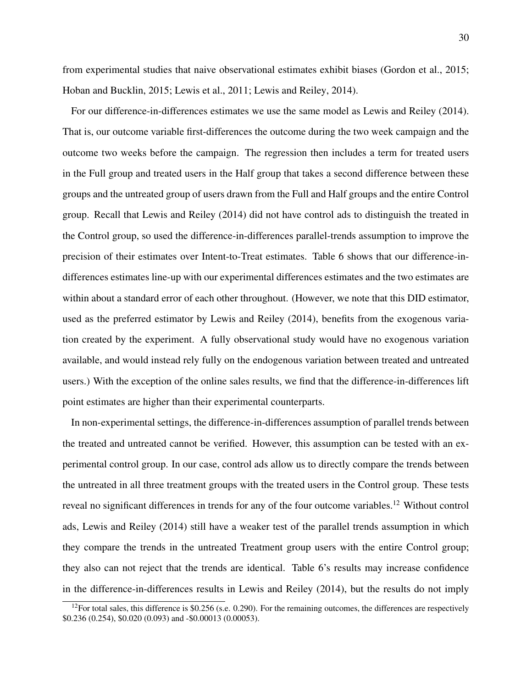from experimental studies that naive observational estimates exhibit biases (Gordon et al., 2015; Hoban and Bucklin, 2015; Lewis et al., 2011; Lewis and Reiley, 2014).

For our difference-in-differences estimates we use the same model as Lewis and Reiley (2014). That is, our outcome variable first-differences the outcome during the two week campaign and the outcome two weeks before the campaign. The regression then includes a term for treated users in the Full group and treated users in the Half group that takes a second difference between these groups and the untreated group of users drawn from the Full and Half groups and the entire Control group. Recall that Lewis and Reiley (2014) did not have control ads to distinguish the treated in the Control group, so used the difference-in-differences parallel-trends assumption to improve the precision of their estimates over Intent-to-Treat estimates. Table 6 shows that our difference-indifferences estimates line-up with our experimental differences estimates and the two estimates are within about a standard error of each other throughout. (However, we note that this DID estimator, used as the preferred estimator by Lewis and Reiley (2014), benefits from the exogenous variation created by the experiment. A fully observational study would have no exogenous variation available, and would instead rely fully on the endogenous variation between treated and untreated users.) With the exception of the online sales results, we find that the difference-in-differences lift point estimates are higher than their experimental counterparts.

In non-experimental settings, the difference-in-differences assumption of parallel trends between the treated and untreated cannot be verified. However, this assumption can be tested with an experimental control group. In our case, control ads allow us to directly compare the trends between the untreated in all three treatment groups with the treated users in the Control group. These tests reveal no significant differences in trends for any of the four outcome variables.<sup>12</sup> Without control ads, Lewis and Reiley (2014) still have a weaker test of the parallel trends assumption in which they compare the trends in the untreated Treatment group users with the entire Control group; they also can not reject that the trends are identical. Table 6's results may increase confidence in the difference-in-differences results in Lewis and Reiley (2014), but the results do not imply

 $12$ For total sales, this difference is \$0.256 (s.e. 0.290). For the remaining outcomes, the differences are respectively \$0.236 (0.254), \$0.020 (0.093) and -\$0.00013 (0.00053).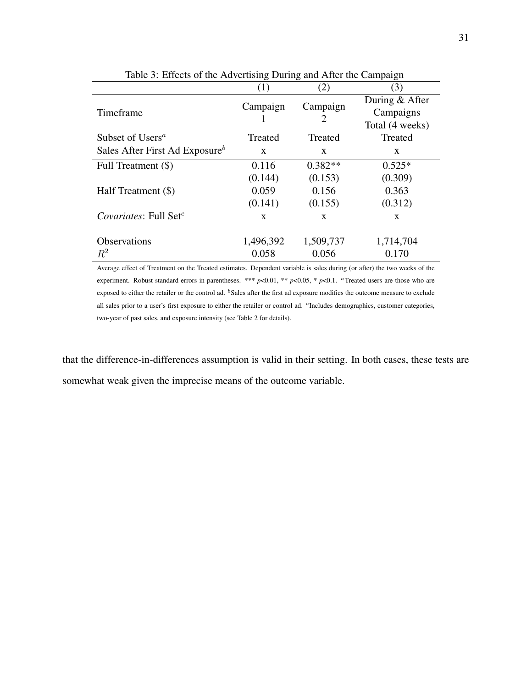| racio et Enforce et alle fratterability Danily and finite through |              |               |                                                |
|-------------------------------------------------------------------|--------------|---------------|------------------------------------------------|
|                                                                   |              | (2)           | (3)                                            |
| Timeframe                                                         | Campaign     | Campaign<br>2 | During & After<br>Campaigns<br>Total (4 weeks) |
| Subset of Users <sup>a</sup>                                      | Treated      | Treated       | Treated                                        |
| Sales After First Ad Exposure <sup>b</sup>                        | X            | X             | X                                              |
| Full Treatment (\$)                                               | 0.116        | $0.382**$     | $0.525*$                                       |
|                                                                   | (0.144)      | (0.153)       | (0.309)                                        |
| Half Treatment (\$)                                               | 0.059        | 0.156         | 0.363                                          |
|                                                                   | (0.141)      | (0.155)       | (0.312)                                        |
| Covariates: Full Set <sup>c</sup>                                 | $\mathbf{x}$ | $\mathbf{X}$  | X                                              |
| <b>Observations</b>                                               | 1,496,392    | 1,509,737     | 1,714,704                                      |
| $R^2$                                                             | 0.058        | 0.056         | 0.170                                          |

Table 3: Effects of the Advertising During and After the Campaign

Average effect of Treatment on the Treated estimates. Dependent variable is sales during (or after) the two weeks of the experiment. Robust standard errors in parentheses. \*\*\* *p*<0.01, \*\* *p*<0.05, \* *p*<0.1. <sup>a</sup>Treated users are those who are exposed to either the retailer or the control ad. <sup>b</sup>Sales after the first ad exposure modifies the outcome measure to exclude all sales prior to a user's first exposure to either the retailer or control ad. <sup>c</sup>Includes demographics, customer categories, two-year of past sales, and exposure intensity (see Table 2 for details).

that the difference-in-differences assumption is valid in their setting. In both cases, these tests are somewhat weak given the imprecise means of the outcome variable.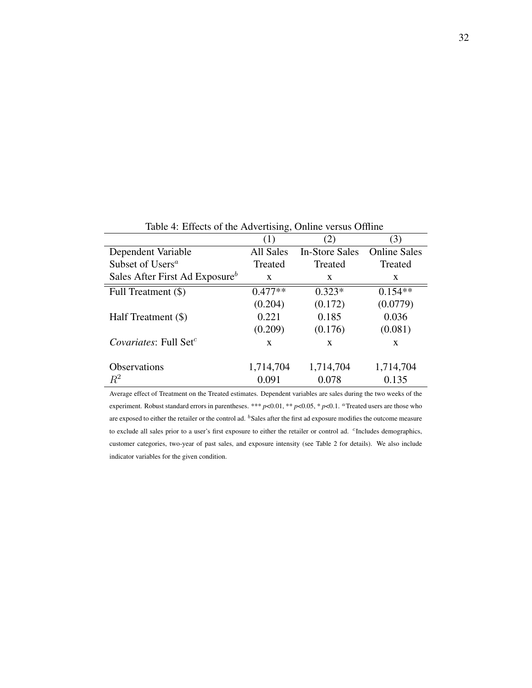|                                            | (1)       | (2)            | (3)                 |
|--------------------------------------------|-----------|----------------|---------------------|
| Dependent Variable                         | All Sales | In-Store Sales | <b>Online Sales</b> |
| Subset of Users <sup><math>a</math></sup>  | Treated   | Treated        | Treated             |
| Sales After First Ad Exposure <sup>b</sup> | X         | X              | X                   |
| Full Treatment (\$)                        | $0.477**$ | $0.323*$       | $0.154**$           |
|                                            | (0.204)   | (0.172)        | (0.0779)            |
| Half Treatment (\$)                        | 0.221     | 0.185          | 0.036               |
|                                            | (0.209)   | (0.176)        | (0.081)             |
| <i>Covariates:</i> Full Set <sup>c</sup>   | X         | X              | X                   |
| <b>Observations</b>                        | 1,714,704 | 1,714,704      | 1,714,704           |
| $R^2$                                      | 0.091     | 0.078          | 0.135               |

Table 4: Effects of the Advertising, Online versus Offline

Average effect of Treatment on the Treated estimates. Dependent variables are sales during the two weeks of the experiment. Robust standard errors in parentheses. \*\*\*  $p$ <0.01, \*\*  $p$ <0.05, \*  $p$ <0.1. <sup>a</sup>Treated users are those who are exposed to either the retailer or the control ad. <sup>b</sup>Sales after the first ad exposure modifies the outcome measure to exclude all sales prior to a user's first exposure to either the retailer or control ad. <sup>c</sup>Includes demographics, customer categories, two-year of past sales, and exposure intensity (see Table 2 for details). We also include indicator variables for the given condition.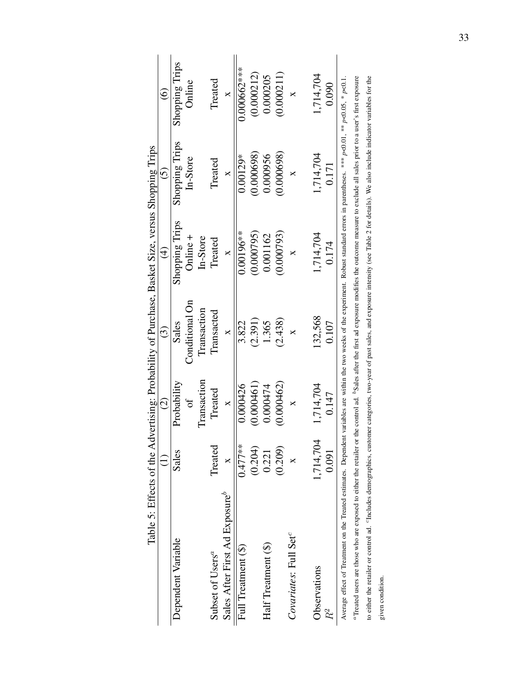|                                                                                                                                                                                                                      |           |                    | collect Surgeon Control of the collect of the collect of the collect of the collect of the collect of the collect of the collect of the collect of the collect of the collect of the collect of the collect of the collect of |                       |                       |                       |
|----------------------------------------------------------------------------------------------------------------------------------------------------------------------------------------------------------------------|-----------|--------------------|-------------------------------------------------------------------------------------------------------------------------------------------------------------------------------------------------------------------------------|-----------------------|-----------------------|-----------------------|
|                                                                                                                                                                                                                      |           | $\widehat{\infty}$ | $\tilde{6}$                                                                                                                                                                                                                   | $\widehat{t}$         | $\tilde{6}$           | $\widehat{\circ}$     |
| Dependent Variable                                                                                                                                                                                                   | Sales     | Probability        | Sales                                                                                                                                                                                                                         | <b>Shopping Trips</b> | <b>Shopping Trips</b> | <b>Shopping Trips</b> |
|                                                                                                                                                                                                                      |           | đ                  | Conditional On                                                                                                                                                                                                                | Online +              | In-Store              | Online                |
|                                                                                                                                                                                                                      |           | Transaction        | Transaction                                                                                                                                                                                                                   | $In-Store$            |                       |                       |
| Subset of Users <sup>a</sup>                                                                                                                                                                                         | Treated   | Treated            | Transacted                                                                                                                                                                                                                    | Treated               | Treated               | Treated               |
| Sales After First Ad Exposure <sup>b</sup>                                                                                                                                                                           | ×         | ×                  | ×                                                                                                                                                                                                                             | ×                     | ×                     | ×                     |
| Full Treatment (\$)                                                                                                                                                                                                  | $0.477**$ | 0.000426           | 3.822                                                                                                                                                                                                                         | $0.00196**$           | $0.00129*$            | 0.000662****          |
|                                                                                                                                                                                                                      | (0.204)   | (0.000461)         | (2.391)                                                                                                                                                                                                                       | (0.000795)            | (0.000698)            | (0.000212)            |
| Half Treatment (\$)                                                                                                                                                                                                  | 0.221     | 0.000474           | 1.365                                                                                                                                                                                                                         | 0.001162              | 0.000956              | 0.000205              |
|                                                                                                                                                                                                                      | (0.209)   | (0.000462)         | (2.438)                                                                                                                                                                                                                       | (0.000793)            | 0.000698)             | (0.000211)            |
| Covariates: Full Set <sup>e</sup>                                                                                                                                                                                    |           |                    |                                                                                                                                                                                                                               |                       |                       |                       |
|                                                                                                                                                                                                                      |           |                    |                                                                                                                                                                                                                               |                       |                       |                       |
| Observations                                                                                                                                                                                                         | 1,714,704 | 1,714,704          | 132,568                                                                                                                                                                                                                       | 1,714,704             | 1,714,704             | 1,714,704             |
| $R^2$                                                                                                                                                                                                                | 0.091     | 0.147              | 0.107                                                                                                                                                                                                                         | 0.174                 | 0.171                 | 0.090                 |
| Average effect of Treatment on the Treated estimates. Dependent variables are within the two weeks of the experiment. Robust standard errors in parentheses. *** $p<0.1$ , ** $p<0.1$ , ** $p<0.1$ ,                 |           |                    |                                                                                                                                                                                                                               |                       |                       |                       |
| "Treated users are those who are exposed to either the retailer or the control ad. "Sales after the first ad exposure modifies the outcome measure to exclude all sales prior to a user's first exposure             |           |                    |                                                                                                                                                                                                                               |                       |                       |                       |
| to either the retailer or control ad. <sup>c</sup> Includes demographics, customer categories, two-year of past sales, and exposure intensity (see Table 2 for details). We also include indicator variables for the |           |                    |                                                                                                                                                                                                                               |                       |                       |                       |
| given condition.                                                                                                                                                                                                     |           |                    |                                                                                                                                                                                                                               |                       |                       |                       |

Table 5: Effects of the Advertising: Probability of Purchase, Basket Size, versus Shopping Trips Table 5: Effects of the Advertising: Probability of Purchase, Basket Size, versus Shopping Trips